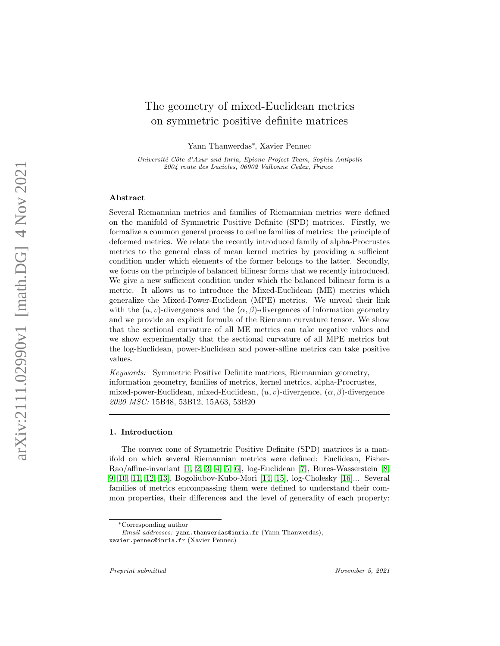# The geometry of mixed-Euclidean metrics on symmetric positive definite matrices

Yann Thanwerdas ∗ , Xavier Pennec

Université Côte d'Azur and Inria, Epione Project Team, Sophia Antipolis 2004 route des Lucioles, 06902 Valbonne Cedex, France

# Abstract

Several Riemannian metrics and families of Riemannian metrics were defined on the manifold of Symmetric Positive Definite (SPD) matrices. Firstly, we formalize a common general process to define families of metrics: the principle of deformed metrics. We relate the recently introduced family of alpha-Procrustes metrics to the general class of mean kernel metrics by providing a sufficient condition under which elements of the former belongs to the latter. Secondly, we focus on the principle of balanced bilinear forms that we recently introduced. We give a new sufficient condition under which the balanced bilinear form is a metric. It allows us to introduce the Mixed-Euclidean (ME) metrics which generalize the Mixed-Power-Euclidean (MPE) metrics. We unveal their link with the  $(u, v)$ -divergences and the  $(\alpha, \beta)$ -divergences of information geometry and we provide an explicit formula of the Riemann curvature tensor. We show that the sectional curvature of all ME metrics can take negative values and we show experimentally that the sectional curvature of all MPE metrics but the log-Euclidean, power-Euclidean and power-affine metrics can take positive values.

Keywords: Symmetric Positive Definite matrices, Riemannian geometry, information geometry, families of metrics, kernel metrics, alpha-Procrustes, mixed-power-Euclidean, mixed-Euclidean,  $(u, v)$ -divergence,  $(\alpha, \beta)$ -divergence 2020 MSC: 15B48, 53B12, 15A63, 53B20

#### 1. Introduction

The convex cone of Symmetric Positive Definite (SPD) matrices is a manifold on which several Riemannian metrics were defined: Euclidean, Fisher-Rao/affine-invariant [\[1,](#page-23-0) [2,](#page-23-1) [3,](#page-23-2) [4,](#page-23-3) [5,](#page-23-4) [6\]](#page-23-5), log-Euclidean [\[7\]](#page-23-6), Bures-Wasserstein [\[8,](#page-23-7) [9,](#page-23-8) [10,](#page-23-9) [11,](#page-23-10) [12,](#page-23-11) [13\]](#page-23-12), Bogoliubov-Kubo-Mori [\[14,](#page-23-13) [15\]](#page-24-0), log-Cholesky [\[16\]](#page-24-1)... Several families of metrics encompassing them were defined to understand their common properties, their differences and the level of generality of each property:

<sup>∗</sup>Corresponding author

Email addresses: yann.thanwerdas@inria.fr (Yann Thanwerdas), xavier.pennec@inria.fr (Xavier Pennec)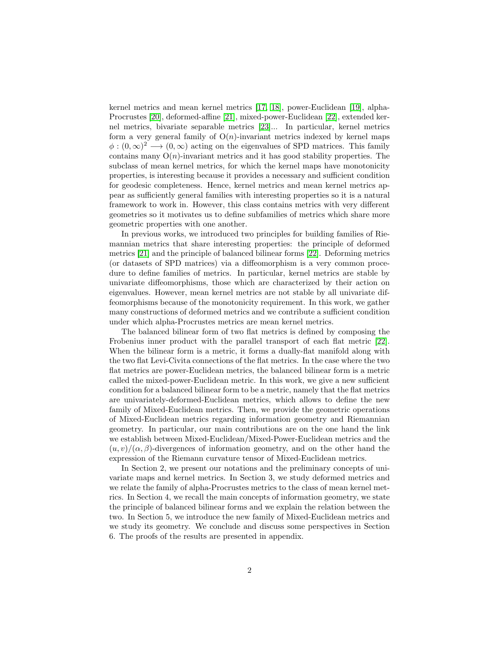kernel metrics and mean kernel metrics [\[17,](#page-24-2) [18\]](#page-24-3), power-Euclidean [\[19\]](#page-24-4), alpha-Procrustes [\[20\]](#page-24-5), deformed-affine [\[21\]](#page-24-6), mixed-power-Euclidean [\[22\]](#page-24-7), extended kernel metrics, bivariate separable metrics [\[23\]](#page-24-8)... In particular, kernel metrics form a very general family of  $O(n)$ -invariant metrics indexed by kernel maps  $\phi: (0,\infty)^2 \longrightarrow (0,\infty)$  acting on the eigenvalues of SPD matrices. This family contains many  $O(n)$ -invariant metrics and it has good stability properties. The subclass of mean kernel metrics, for which the kernel maps have monotonicity properties, is interesting because it provides a necessary and sufficient condition for geodesic completeness. Hence, kernel metrics and mean kernel metrics appear as sufficiently general families with interesting properties so it is a natural framework to work in. However, this class contains metrics with very different geometries so it motivates us to define subfamilies of metrics which share more geometric properties with one another.

In previous works, we introduced two principles for building families of Riemannian metrics that share interesting properties: the principle of deformed metrics [\[21\]](#page-24-6) and the principle of balanced bilinear forms [\[22\]](#page-24-7). Deforming metrics (or datasets of SPD matrices) via a diffeomorphism is a very common procedure to define families of metrics. In particular, kernel metrics are stable by univariate diffeomorphisms, those which are characterized by their action on eigenvalues. However, mean kernel metrics are not stable by all univariate diffeomorphisms because of the monotonicity requirement. In this work, we gather many constructions of deformed metrics and we contribute a sufficient condition under which alpha-Procrustes metrics are mean kernel metrics.

The balanced bilinear form of two flat metrics is defined by composing the Frobenius inner product with the parallel transport of each flat metric [\[22\]](#page-24-7). When the bilinear form is a metric, it forms a dually-flat manifold along with the two flat Levi-Civita connections of the flat metrics. In the case where the two flat metrics are power-Euclidean metrics, the balanced bilinear form is a metric called the mixed-power-Euclidean metric. In this work, we give a new sufficient condition for a balanced bilinear form to be a metric, namely that the flat metrics are univariately-deformed-Euclidean metrics, which allows to define the new family of Mixed-Euclidean metrics. Then, we provide the geometric operations of Mixed-Euclidean metrics regarding information geometry and Riemannian geometry. In particular, our main contributions are on the one hand the link we establish between Mixed-Euclidean/Mixed-Power-Euclidean metrics and the  $(u, v)/(\alpha, \beta)$ -divergences of information geometry, and on the other hand the expression of the Riemann curvature tensor of Mixed-Euclidean metrics.

In Section 2, we present our notations and the preliminary concepts of univariate maps and kernel metrics. In Section 3, we study deformed metrics and we relate the family of alpha-Procrustes metrics to the class of mean kernel metrics. In Section 4, we recall the main concepts of information geometry, we state the principle of balanced bilinear forms and we explain the relation between the two. In Section 5, we introduce the new family of Mixed-Euclidean metrics and we study its geometry. We conclude and discuss some perspectives in Section 6. The proofs of the results are presented in appendix.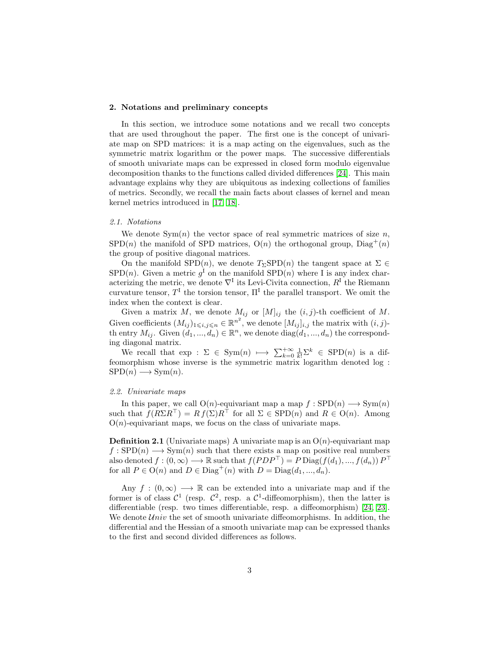## 2. Notations and preliminary concepts

In this section, we introduce some notations and we recall two concepts that are used throughout the paper. The first one is the concept of univariate map on SPD matrices: it is a map acting on the eigenvalues, such as the symmetric matrix logarithm or the power maps. The successive differentials of smooth univariate maps can be expressed in closed form modulo eigenvalue decomposition thanks to the functions called divided differences [\[24\]](#page-24-9). This main advantage explains why they are ubiquitous as indexing collections of families of metrics. Secondly, we recall the main facts about classes of kernel and mean kernel metrics introduced in [\[17,](#page-24-2) [18\]](#page-24-3).

#### 2.1. Notations

We denote  $Sym(n)$  the vector space of real symmetric matrices of size n,  $SPD(n)$  the manifold of SPD matrices,  $O(n)$  the orthogonal group,  $Diag^{+}(n)$ the group of positive diagonal matrices.

On the manifold SPD(n), we denote  $T_{\Sigma}SPD(n)$  the tangent space at  $\Sigma \in$  $SPD(n)$ . Given a metric  $g<sup>I</sup>$  on the manifold  $SPD(n)$  where I is any index characterizing the metric, we denote  $\nabla^{\mathbf{I}}$  its Levi-Civita connection,  $R^{\mathbf{I}}$  the Riemann curvature tensor,  $T^{\text{I}}$  the torsion tensor,  $\Pi^{\text{I}}$  the parallel transport. We omit the index when the context is clear.

Given a matrix M, we denote  $M_{ij}$  or  $[M]_{ij}$  the  $(i, j)$ -th coefficient of M. Given coefficients  $(M_{ij})_{1\leq i,j\leq n} \in \mathbb{R}^{n^2}$ , we denote  $[M_{ij}]_{i,j}$  the matrix with  $(i, j)$ th entry  $M_{ij}$ . Given  $(d_1, ..., d_n) \in \mathbb{R}^n$ , we denote  $diag(d_1, ..., d_n)$  the corresponding diagonal matrix.

We recall that  $\exp : \Sigma \in \text{Sym}(n) \longmapsto \sum_{k=0}^{+\infty} \frac{1}{k!} \Sigma^k \in \text{SPD}(n)$  is a diffeomorphism whose inverse is the symmetric matrix logarithm denoted log :  $SPD(n) \longrightarrow Sym(n).$ 

# 2.2. Univariate maps

In this paper, we call  $O(n)$ -equivariant map a map  $f : SPD(n) \longrightarrow Sym(n)$ such that  $f(R\Sigma R^{\top}) = R f(\Sigma) R^{\top}$  for all  $\Sigma \in$  SPD(n) and  $R \in O(n)$ . Among  $O(n)$ -equivariant maps, we focus on the class of univariate maps.

**Definition 2.1** (Univariate maps) A univariate map is an  $O(n)$ -equivariant map  $f : SPD(n) \longrightarrow Sym(n)$  such that there exists a map on positive real numbers also denoted  $f:(0,\infty) \longrightarrow \mathbb{R}$  such that  $f(PDP^{\top}) = P \text{Diag}(f(d_1),...,f(d_n)) P^{\top}$ for all  $P \in O(n)$  and  $D \in Diag^+(n)$  with  $D = Diag(d_1, ..., d_n)$ .

Any  $f : (0, \infty) \longrightarrow \mathbb{R}$  can be extended into a univariate map and if the former is of class  $\mathcal{C}^1$  (resp.  $\mathcal{C}^2$ , resp. a  $\mathcal{C}^1$ -diffeomorphism), then the latter is differentiable (resp. two times differentiable, resp. a diffeomorphism) [\[24,](#page-24-9) [23\]](#page-24-8). We denote  $\mathcal{U}^{\text{div}}$  the set of smooth univariate diffeomorphisms. In addition, the differential and the Hessian of a smooth univariate map can be expressed thanks to the first and second divided differences as follows.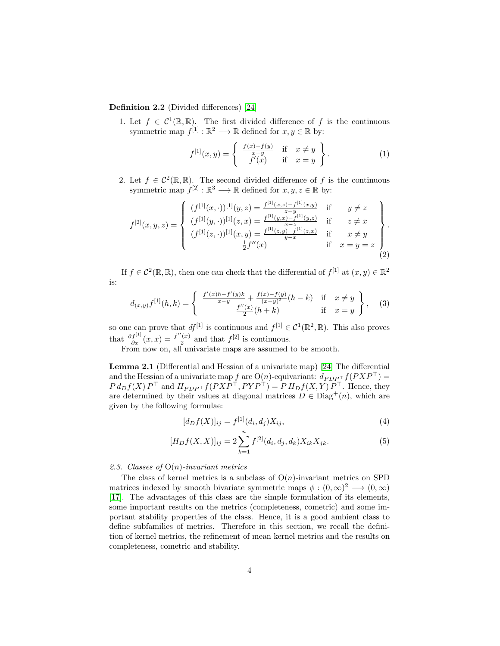Definition 2.2 (Divided differences) [\[24\]](#page-24-9)

1. Let  $f \in C^1(\mathbb{R}, \mathbb{R})$ . The first divided difference of f is the continuous symmetric map  $f^{[1]} : \mathbb{R}^2 \longrightarrow \mathbb{R}$  defined for  $x, y \in \mathbb{R}$  by:

$$
f^{[1]}(x,y) = \begin{cases} \frac{f(x) - f(y)}{x-y} & \text{if } x \neq y \\ f'(x) & \text{if } x = y \end{cases}.
$$
 (1)

2. Let  $f \in C^2(\mathbb{R}, \mathbb{R})$ . The second divided difference of f is the continuous symmetric map  $f^{[2]} : \mathbb{R}^3 \longrightarrow \mathbb{R}$  defined for  $x, y, z \in \mathbb{R}$  by:

$$
f^{[2]}(x,y,z) = \begin{cases} (f^{[1]}(x,\cdot))^{[1]}(y,z) = \frac{f^{[1]}(x,z) - f^{[1]}(x,y)}{z-y} & \text{if } y \neq z \\ (f^{[1]}(y,\cdot))^{[1]}(z,x) = \frac{f^{[1]}(y,x) - f^{[1]}(y,z)}{x-z} & \text{if } z \neq x \\ (f^{[1]}(z,\cdot))^{[1]}(x,y) = \frac{f^{[1]}(z,y) - f^{[1]}(z,x)}{y-x} & \text{if } x \neq y \\ \frac{1}{2}f''(x) & \text{if } x = y = z \end{cases}.
$$
 (2)

If  $f \in C^2(\mathbb{R}, \mathbb{R})$ , then one can check that the differential of  $f^{[1]}$  at  $(x, y) \in \mathbb{R}^2$ is:

$$
d_{(x,y)}f^{[1]}(h,k) = \begin{cases} \frac{f'(x)h - f'(y)k}{x - y} + \frac{f(x) - f(y)}{(x - y)^2}(h - k) & \text{if } x \neq y \\ \frac{f''(x)}{2}(h + k) & \text{if } x = y \end{cases}, \quad (3)
$$

so one can prove that  $df^{[1]}$  is continuous and  $f^{[1]} \in C^1(\mathbb{R}^2, \mathbb{R})$ . This also proves that  $\frac{\partial f^{[1]}}{\partial x}(x,x) = \frac{f''(x)}{2}$  $\frac{1}{2}$  and that  $f^{[2]}$  is continuous.

From now on, all univariate maps are assumed to be smooth.

<span id="page-3-0"></span>Lemma 2.1 (Differential and Hessian of a univariate map) [\[24\]](#page-24-9) The differential and the Hessian of a univariate map  $f$  are  $O(n)$ -equivariant:  $d_{PDP^{\top}}f(PXP^{\top}) =$  $P d_D f(X) P^{\top}$  and  $H_{P D P^{\top}} f(P X P^{\top}, P Y P^{\top}) = P H_D f(X, Y) P^{\top}$ . Hence, they are determined by their values at diagonal matrices  $D \in Diag^+(n)$ , which are given by the following formulae:

$$
[d_D f(X)]_{ij} = f^{[1]}(d_i, d_j) X_{ij}, \tag{4}
$$

$$
[H_D f(X, X)]_{ij} = 2 \sum_{k=1}^{n} f^{[2]}(d_i, d_j, d_k) X_{ik} X_{jk}.
$$
 (5)

## 2.3. Classes of  $O(n)$ -invariant metrics

The class of kernel metrics is a subclass of  $O(n)$ -invariant metrics on SPD matrices indexed by smooth bivariate symmetric maps  $\phi : (0, \infty)^2 \longrightarrow (0, \infty)$ [\[17\]](#page-24-2). The advantages of this class are the simple formulation of its elements, some important results on the metrics (completeness, cometric) and some important stability properties of the class. Hence, it is a good ambient class to define subfamilies of metrics. Therefore in this section, we recall the definition of kernel metrics, the refinement of mean kernel metrics and the results on completeness, cometric and stability.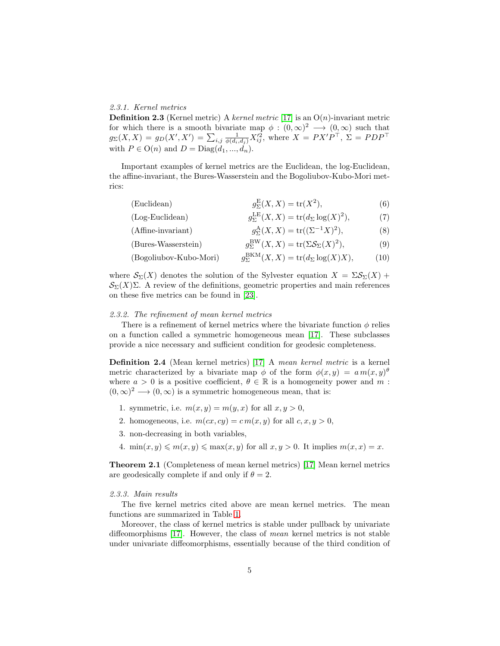## 2.3.1. Kernel metrics

**Definition 2.3** (Kernel metric) A kernel metric [\[17\]](#page-24-2) is an  $O(n)$ -invariant metric for which there is a smooth bivariate map  $\phi : (0,\infty)^2 \longrightarrow (0,\infty)$  such that  $g_{\Sigma}(X,X) = g_D(X',X') = \sum_{i,j} \frac{1}{\phi(d_i,d_j)} X'^2_{ij}$ , where  $X = PX'P^{\top}$ ,  $\Sigma = PDP^{\top}$ with  $P \in O(n)$  and  $D = Diag(d_1, ..., d_n)$ .

Important examples of kernel metrics are the Euclidean, the log-Euclidean, the affine-invariant, the Bures-Wasserstein and the Bogoliubov-Kubo-Mori metrics:

(Euclidean)  $_{\Sigma}^{E}(X,X) = \text{tr}(X^2)$  $(6)$ 

 $(Log-Euclidean)$  $_{\Sigma}^{\rm LE}(X,X) = {\rm tr}(d_{\Sigma}\log(X)^2)$  $(7)$ (Affine-invariant)  ${}_{\Sigma}^{\rm A}(X,X) = {\rm tr}((\Sigma^{-1}X)^2)$  $(8)$ 

<span id="page-4-1"></span><span id="page-4-0"></span>(Bures-Wasserstein) 
$$
g_{\Sigma}^{\text{BW}}(X,X) = \text{tr}(\Sigma \mathcal{S}_{\Sigma}(X)^2), \tag{9}
$$

(Bogoliubov-Kubo-Mori) 
$$
g_{\Sigma}^{\text{BKM}}(X,X) = \text{tr}(d_{\Sigma}\log(X)X), \quad (10)
$$

where  $\mathcal{S}_{\Sigma}(X)$  denotes the solution of the Sylvester equation  $X = \Sigma \mathcal{S}_{\Sigma}(X)$  +  $\mathcal{S}_{\Sigma}(X)\Sigma$ . A review of the definitions, geometric properties and main references on these five metrics can be found in [\[23\]](#page-24-8).

#### 2.3.2. The refinement of mean kernel metrics

There is a refinement of kernel metrics where the bivariate function  $\phi$  relies on a function called a symmetric homogeneous mean [\[17\]](#page-24-2). These subclasses provide a nice necessary and sufficient condition for geodesic completeness.

Definition 2.4 (Mean kernel metrics) [\[17\]](#page-24-2) A mean kernel metric is a kernel metric characterized by a bivariate map  $\phi$  of the form  $\phi(x, y) = a m(x, y)$ where  $a > 0$  is a positive coefficient,  $\theta \in \mathbb{R}$  is a homogeneity power and m:  $(0, \infty)^2 \longrightarrow (0, \infty)$  is a symmetric homogeneous mean, that is:

- 1. symmetric, i.e.  $m(x, y) = m(y, x)$  for all  $x, y > 0$ ,
- 2. homogeneous, i.e.  $m(cx, cy) = cm(x, y)$  for all  $c, x, y > 0$ ,
- 3. non-decreasing in both variables,
- 4.  $\min(x, y) \leq m(x, y) \leq \max(x, y)$  for all  $x, y > 0$ . It implies  $m(x, x) = x$ .

Theorem 2.1 (Completeness of mean kernel metrics) [\[17\]](#page-24-2) Mean kernel metrics are geodesically complete if and only if  $\theta = 2$ .

#### 2.3.3. Main results

The five kernel metrics cited above are mean kernel metrics. The mean functions are summarized in Table [1.](#page-5-0)

Moreover, the class of kernel metrics is stable under pullback by univariate diffeomorphisms [\[17\]](#page-24-2). However, the class of mean kernel metrics is not stable under univariate diffeomorphisms, essentially because of the third condition of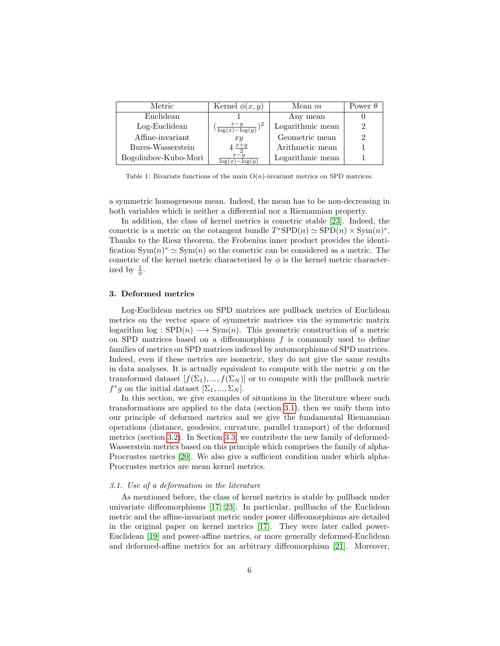| Metric               | Kernel $\phi(x,y)$                    | Mean $m$         | Power $\theta$ |
|----------------------|---------------------------------------|------------------|----------------|
| Euclidean            |                                       | Any mean         |                |
| Log-Euclidean        | $x - y$<br>$\sqrt{\log(x)} - \log(y)$ | Logarithmic mean |                |
| Affine-invariant     | xy                                    | Geometric mean   |                |
| Bures-Wasserstein    | $4\frac{x+y}{2}$                      | Arithmetic mean  |                |
| Bogoliubov-Kubo-Mori | $x-y$<br>$log(x) - log(y)$            | Logarithmic mean |                |

<span id="page-5-0"></span>Table 1: Bivariate functions of the main  $O(n)$ -invariant metrics on SPD matrices.

a symmetric homogeneous mean. Indeed, the mean has to be non-decreasing in both variables which is neither a differential nor a Riemannian property.

In addition, the class of kernel metrics is cometric stable [\[23\]](#page-24-8). Indeed, the cometric is a metric on the cotangent bundle  $T^*SPD(n) \simeq SPD(n) \times Sym(n)^*$ . Thanks to the Riesz theorem, the Frobenius inner product provides the identification  $\text{Sym}(n)^* \simeq \text{Sym}(n)$  so the cometric can be considered as a metric. The cometric of the kernel metric characterized by  $\phi$  is the kernel metric characterized by  $\frac{1}{\phi}$ .

#### 3. Deformed metrics

Log-Euclidean metrics on SPD matrices are pullback metrics of Euclidean metrics on the vector space of symmetric matrices via the symmetric matrix logarithm  $\log :$  SPD $(n) \longrightarrow$  Sym $(n)$ . This geometric construction of a metric on SPD matrices based on a diffeomorphism  $f$  is commonly used to define families of metrics on SPD matrices indexed by automorphisms of SPD matrices. Indeed, even if these metrics are isometric, they do not give the same results in data analyses. It is actually equivalent to compute with the metric  $g$  on the transformed dataset  $[f(\Sigma_1),..., f(\Sigma_N)]$  or to compute with the pullback metric  $f^*g$  on the initial dataset  $[\Sigma_1, ..., \Sigma_N]$ .

In this section, we give examples of situations in the literature where such transformations are applied to the data (section [3.1\)](#page-5-1), then we unify them into our principle of deformed metrics and we give the fundamental Riemannian operations (distance, geodesics, curvature, parallel transport) of the deformed metrics (section [3.2\)](#page-6-0). In Section [3.3,](#page-7-0) we contribute the new family of deformed-Wasserstein metrics based on this principle which comprises the family of alpha-Procrustes metrics [\[20\]](#page-24-5). We also give a sufficient condition under which alpha-Procrustes metrics are mean kernel metrics.

#### <span id="page-5-1"></span>3.1. Use of a deformation in the literature

As mentioned before, the class of kernel metrics is stable by pullback under univariate diffeomorphisms [\[17,](#page-24-2) [23\]](#page-24-8). In particular, pullbacks of the Euclidean metric and the affine-invariant metric under power diffeomorphisms are detailed in the original paper on kernel metrics [\[17\]](#page-24-2). They were later called power-Euclidean [\[19\]](#page-24-4) and power-affine metrics, or more generally deformed-Euclidean and deformed-affine metrics for an arbitrary diffeomorphism [\[21\]](#page-24-6). Moreover,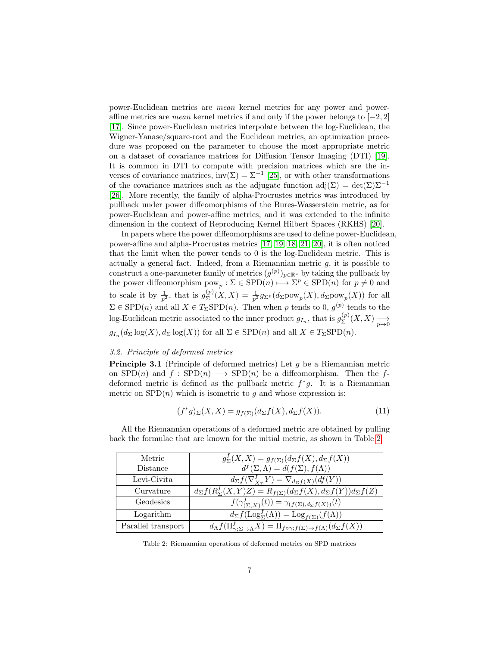power-Euclidean metrics are mean kernel metrics for any power and poweraffine metrics are *mean* kernel metrics if and only if the power belongs to  $[-2, 2]$ [\[17\]](#page-24-2). Since power-Euclidean metrics interpolate between the log-Euclidean, the Wigner-Yanase/square-root and the Euclidean metrics, an optimization procedure was proposed on the parameter to choose the most appropriate metric on a dataset of covariance matrices for Diffusion Tensor Imaging (DTI) [\[19\]](#page-24-4). It is common in DTI to compute with precision matrices which are the inverses of covariance matrices,  $inv(\Sigma) = \Sigma^{-1}$  [\[25\]](#page-24-10), or with other transformations of the covariance matrices such as the adjugate function  $adj(\Sigma) = det(\Sigma) \Sigma^{-1}$ [\[26\]](#page-25-0). More recently, the family of alpha-Procrustes metrics was introduced by pullback under power diffeomorphisms of the Bures-Wasserstein metric, as for power-Euclidean and power-affine metrics, and it was extended to the infinite dimension in the context of Reproducing Kernel Hilbert Spaces (RKHS) [\[20\]](#page-24-5).

In papers where the power diffeomorphisms are used to define power-Euclidean, power-affine and alpha-Procrustes metrics [\[17,](#page-24-2) [19,](#page-24-4) [18,](#page-24-3) [21,](#page-24-6) [20\]](#page-24-5), it is often noticed that the limit when the power tends to 0 is the log-Euclidean metric. This is actually a general fact. Indeed, from a Riemannian metric  $g$ , it is possible to construct a one-parameter family of metrics  $(g^{(p)})_{p \in \mathbb{R}^*}$  by taking the pullback by the power diffeomorphism  $\text{pow}_p : \Sigma \in \text{SPD}(n) \longmapsto \Sigma^p \in \text{SPD}(n)$  for  $p \neq 0$  and to scale it by  $\frac{1}{p^2}$ , that is  $g_{\Sigma}^{(p)}$  $\mathcal{L}^{(p)}_{\Sigma}(X,X) = \frac{1}{p^2} g_{\Sigma^p}(d_{\Sigma} \text{pow}_p(X), d_{\Sigma} \text{pow}_p(X))$  for all  $\Sigma \in \text{SPD}(n)$  and all  $X \in T_{\Sigma} \text{SPD}(n)$ . Then when p tends to 0,  $g^{(p)}$  tends to the log-Euclidean metric associated to the inner product  $g_{I_n}$ , that is  $g_{\Sigma}^{(p)}$  $\sum\limits_{\Sigma}^{(p)}(X,X) \longrightarrow\atop p\rightarrow 0$  $g_{I_n}(d_{\Sigma}\log(X), d_{\Sigma}\log(X))$  for all  $\Sigma \in$  SPD $(n)$  and all  $X \in T_{\Sigma}$ SPD $(n)$ .

## <span id="page-6-0"></span>3.2. Principle of deformed metrics

Principle 3.1 (Principle of deformed metrics) Let g be a Riemannian metric on  $SPD(n)$  and  $f : SPD(n) \longrightarrow SPD(n)$  be a diffeomorphism. Then the fdeformed metric is defined as the pullback metric  $f^*g$ . It is a Riemannian metric on  $SPD(n)$  which is isometric to g and whose expression is:

$$
(f^*g)_{\Sigma}(X,X) = g_{f(\Sigma)}(d_{\Sigma}f(X), d_{\Sigma}f(X)).
$$
\n(11)

| Metric             | $g_{\Sigma}^{f}(X, X) = g_{f(\Sigma)}(d_{\Sigma}f(X), d_{\Sigma}f(X))$                                       |
|--------------------|--------------------------------------------------------------------------------------------------------------|
| Distance           | $d^f(\Sigma, \Lambda) = d(f(\Sigma), f(\Lambda))$                                                            |
| Levi-Civita        | $d_{\Sigma}f(\nabla^f_{X_{\Sigma}}Y) = \nabla_{d_{\Sigma}f(X)}(df(Y))$                                       |
| Curvature          | $\overline{d_{\Sigma}f(R_{\Sigma}^f(X,Y)Z)} = R_{f(\Sigma)}(d_{\Sigma}f(X), d_{\Sigma}f(Y))d_{\Sigma}f(Z)$   |
| Geodesics          | $f(\gamma_{(\Sigma,X)}^f(t)) = \gamma_{(f(\Sigma),d_{\Sigma}f(X))}(t)$                                       |
| Logarithm          | $d_{\Sigma} f(\mathrm{Log}_{\Sigma}^f(\Lambda)) = \mathrm{Log}_{f(\Sigma)}(f(\Lambda))$                      |
| Parallel transport | $d_{\Lambda}f(\Pi_{\gamma:\Sigma\to\Lambda}^f X)=\Pi_{f\circ\gamma;f(\Sigma)\to f(\Lambda)}(d_{\Sigma}f(X))$ |

All the Riemannian operations of a deformed metric are obtained by pulling back the formulae that are known for the initial metric, as shown in Table [2.](#page-6-1)

<span id="page-6-1"></span>Table 2: Riemannian operations of deformed metrics on SPD matrices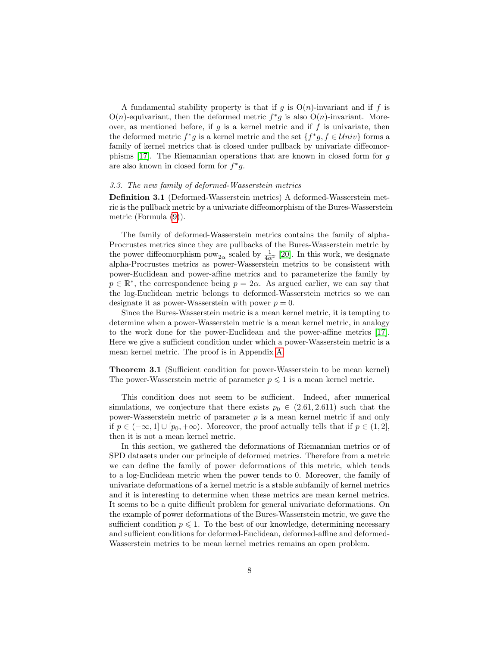A fundamental stability property is that if g is  $O(n)$ -invariant and if f is  $O(n)$ -equivariant, then the deformed metric  $f^*g$  is also  $O(n)$ -invariant. Moreover, as mentioned before, if  $g$  is a kernel metric and if  $f$  is univariate, then the deformed metric  $f^*g$  is a kernel metric and the set  $\{f^*g, f \in Univ\}$  forms a family of kernel metrics that is closed under pullback by univariate diffeomorphisms [\[17\]](#page-24-2). The Riemannian operations that are known in closed form for g are also known in closed form for  $f^*g$ .

#### <span id="page-7-0"></span>3.3. The new family of deformed-Wasserstein metrics

Definition 3.1 (Deformed-Wasserstein metrics) A deformed-Wasserstein metric is the pullback metric by a univariate diffeomorphism of the Bures-Wasserstein metric (Formula [\(9\)](#page-4-0)).

The family of deformed-Wasserstein metrics contains the family of alpha-Procrustes metrics since they are pullbacks of the Bures-Wasserstein metric by the power diffeomorphism  $pow_{2\alpha}$  scaled by  $\frac{1}{4\alpha^2}$  [\[20\]](#page-24-5). In this work, we designate alpha-Procrustes metrics as power-Wasserstein metrics to be consistent with power-Euclidean and power-affine metrics and to parameterize the family by  $p \in \mathbb{R}^*$ , the correspondence being  $p = 2\alpha$ . As argued earlier, we can say that the log-Euclidean metric belongs to deformed-Wasserstein metrics so we can designate it as power-Wasserstein with power  $p = 0$ .

Since the Bures-Wasserstein metric is a mean kernel metric, it is tempting to determine when a power-Wasserstein metric is a mean kernel metric, in analogy to the work done for the power-Euclidean and the power-affine metrics [\[17\]](#page-24-2). Here we give a sufficient condition under which a power-Wasserstein metric is a mean kernel metric. The proof is in Appendix [A.](#page-17-0)

<span id="page-7-1"></span>Theorem 3.1 (Sufficient condition for power-Wasserstein to be mean kernel) The power-Wasserstein metric of parameter  $p \leq 1$  is a mean kernel metric.

This condition does not seem to be sufficient. Indeed, after numerical simulations, we conjecture that there exists  $p_0 \in (2.61, 2.611)$  such that the power-Wasserstein metric of parameter  $p$  is a mean kernel metric if and only if  $p \in (-\infty, 1] \cup [p_0, +\infty)$ . Moreover, the proof actually tells that if  $p \in (1, 2]$ , then it is not a mean kernel metric.

In this section, we gathered the deformations of Riemannian metrics or of SPD datasets under our principle of deformed metrics. Therefore from a metric we can define the family of power deformations of this metric, which tends to a log-Euclidean metric when the power tends to 0. Moreover, the family of univariate deformations of a kernel metric is a stable subfamily of kernel metrics and it is interesting to determine when these metrics are mean kernel metrics. It seems to be a quite difficult problem for general univariate deformations. On the example of power deformations of the Bures-Wasserstein metric, we gave the sufficient condition  $p \leq 1$ . To the best of our knowledge, determining necessary and sufficient conditions for deformed-Euclidean, deformed-affine and deformed-Wasserstein metrics to be mean kernel metrics remains an open problem.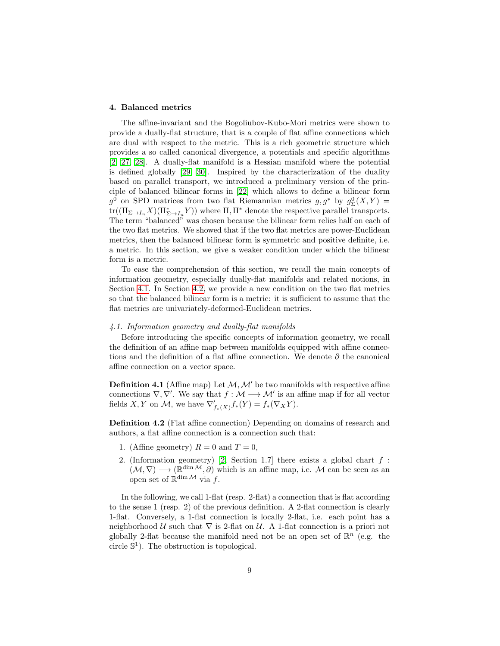## 4. Balanced metrics

The affine-invariant and the Bogoliubov-Kubo-Mori metrics were shown to provide a dually-flat structure, that is a couple of flat affine connections which are dual with respect to the metric. This is a rich geometric structure which provides a so called canonical divergence, a potentials and specific algorithms [\[2,](#page-23-1) [27,](#page-25-1) [28\]](#page-25-2). A dually-flat manifold is a Hessian manifold where the potential is defined globally [\[29,](#page-25-3) [30\]](#page-25-4). Inspired by the characterization of the duality based on parallel transport, we introduced a preliminary version of the principle of balanced bilinear forms in [\[22\]](#page-24-7) which allows to define a bilinear form  $g^0$  on SPD matrices from two flat Riemannian metrics  $g, g^*$  by  $g^0_{\Sigma}(X, Y) =$  $\text{tr}((\Pi_{\Sigma\to I_n}X)(\Pi^*_{\Sigma\to I_n}Y))$  where  $\Pi,\Pi^*$  denote the respective parallel transports. The term "balanced" was chosen because the bilinear form relies half on each of the two flat metrics. We showed that if the two flat metrics are power-Euclidean metrics, then the balanced bilinear form is symmetric and positive definite, i.e. a metric. In this section, we give a weaker condition under which the bilinear form is a metric.

To ease the comprehension of this section, we recall the main concepts of information geometry, especially dually-flat manifolds and related notions, in Section [4.1.](#page-8-0) In Section [4.2,](#page-10-0) we provide a new condition on the two flat metrics so that the balanced bilinear form is a metric: it is sufficient to assume that the flat metrics are univariately-deformed-Euclidean metrics.

#### <span id="page-8-0"></span>4.1. Information geometry and dually-flat manifolds

Before introducing the specific concepts of information geometry, we recall the definition of an affine map between manifolds equipped with affine connections and the definition of a flat affine connection. We denote  $\partial$  the canonical affine connection on a vector space.

**Definition 4.1** (Affine map) Let  $M, M'$  be two manifolds with respective affine connections  $\nabla, \nabla'$ . We say that  $f : \mathcal{M} \longrightarrow \mathcal{M}'$  is an affine map if for all vector fields X, Y on M, we have  $\nabla'_{f_*(X)} f_*(Y) = f_*(\nabla_X Y)$ .

<span id="page-8-1"></span>Definition 4.2 (Flat affine connection) Depending on domains of research and authors, a flat affine connection is a connection such that:

- 1. (Affine geometry)  $R = 0$  and  $T = 0$ ,
- 2. (Information geometry) [\[2,](#page-23-1) Section 1.7] there exists a global chart  $f$ :  $(\mathcal{M}, \nabla) \longrightarrow (\mathbb{R}^{\dim \mathcal{M}}, \partial)$  which is an affine map, i.e. M can be seen as an open set of  $\mathbb{R}^{\dim M}$  via f.

In the following, we call 1-flat (resp. 2-flat) a connection that is flat according to the sense 1 (resp. 2) of the previous definition. A 2-flat connection is clearly 1-flat. Conversely, a 1-flat connection is locally 2-flat, i.e. each point has a neighborhood U such that  $\nabla$  is 2-flat on U. A 1-flat connection is a priori not globally 2-flat because the manifold need not be an open set of  $\mathbb{R}^n$  (e.g. the circle  $\mathbb{S}^1$ ). The obstruction is topological.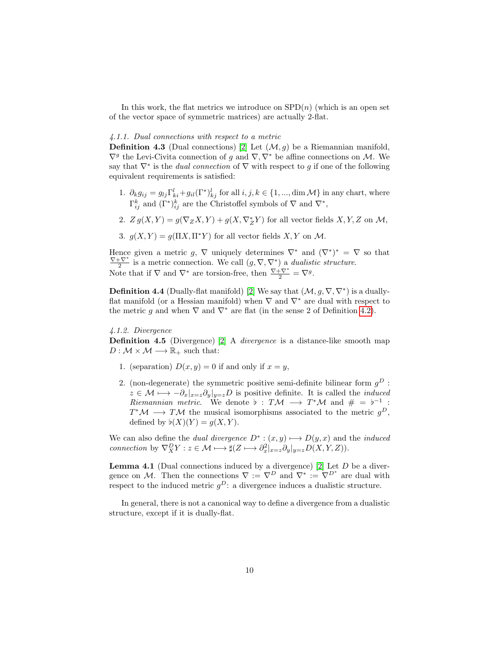In this work, the flat metrics we introduce on  $SPD(n)$  (which is an open set of the vector space of symmetric matrices) are actually 2-flat.

#### 4.1.1. Dual connections with respect to a metric

**Definition 4.3** (Dual connections) [\[2\]](#page-23-1) Let  $(\mathcal{M}, g)$  be a Riemannian manifold,  $\nabla^g$  the Levi-Civita connection of g and  $\nabla, \nabla^*$  be affine connections on M. We say that  $\nabla^*$  is the *dual connection* of  $\nabla$  with respect to g if one of the following equivalent requirements is satisfied:

- 1.  $\partial_k g_{ij} = g_{lj} \Gamma_{ki}^l + g_{il} (\Gamma^*)_{kj}^l$  for all  $i, j, k \in \{1, ..., \dim \mathcal{M}\}\$  in any chart, where  $\Gamma_{ij}^k$  and  $(\Gamma^*)_{ij}^k$  are the Christoffel symbols of  $\nabla$  and  $\nabla^*$ ,
- 2.  $Z g(X,Y) = g(\nabla_Z X, Y) + g(X, \nabla_Z^* Y)$  for all vector fields  $X, Y, Z$  on  $\mathcal{M},$
- 3.  $g(X, Y) = g(\Pi X, \Pi^* Y)$  for all vector fields  $X, Y$  on  $\mathcal M$ .

Hence given a metric g,  $\nabla$  uniquely determines  $\nabla^*$  and  $(\nabla^*)^* = \nabla$  so that  $\frac{\nabla + \nabla^*}{2}$  is a metric connection. We call  $(g, \nabla, \nabla^*)$  a *dualistic structure*. Note that if  $\nabla$  and  $\nabla^*$  are torsion-free, then  $\frac{\nabla + \nabla^*}{2} = \nabla^g$ .

**Definition 4.4** (Dually-flat manifold) [\[2\]](#page-23-1) We say that  $(\mathcal{M}, g, \nabla, \nabla^*)$  is a duallyflat manifold (or a Hessian manifold) when  $\nabla$  and  $\nabla^*$  are dual with respect to the metric q and when  $\nabla$  and  $\nabla^*$  are flat (in the sense 2 of Definition [4.2\)](#page-8-1).

## 4.1.2. Divergence

Definition 4.5 (Divergence) [\[2\]](#page-23-1) A *divergence* is a distance-like smooth map  $D : \mathcal{M} \times \mathcal{M} \longrightarrow \mathbb{R}_{+}$  such that:

- 1. (separation)  $D(x, y) = 0$  if and only if  $x = y$ ,
- 2. (non-degenerate) the symmetric positive semi-definite bilinear form  $g^D$ :  $z \in \mathcal{M} \longmapsto -\partial_x|_{x=z}\partial_y|_{y=z}D$  is positive definite. It is called the *induced* Riemannian metric. We denote  $\flat : T\mathcal{M} \longrightarrow T^*\mathcal{M}$  and  $\# = \flat^{-1}$ :  $T^{\ast}\mathcal{M} \longrightarrow T\mathcal{M}$  the musical isomorphisms associated to the metric  $g^{D}$ , defined by  $\flat(X)(Y) = g(X, Y)$ .

We can also define the *dual divergence*  $D^*$ :  $(x, y) \rightarrow D(y, x)$  and the *induced* connection by  $\nabla^D_X Y : z \in \mathcal{M} \longmapsto \sharp(Z \longmapsto \partial_x^2|_{x=z} \partial_y|_{y=z} D(X,Y,Z)).$ 

**Lemma 4.1** (Dual connections induced by a divergence) [\[2\]](#page-23-1) Let  $D$  be a divergence on M. Then the connections  $\nabla := \nabla^D$  and  $\nabla^* := \nabla^{D^*}$  are dual with respect to the induced metric  $g^D$ : a divergence induces a dualistic structure.

In general, there is not a canonical way to define a divergence from a dualistic structure, except if it is dually-flat.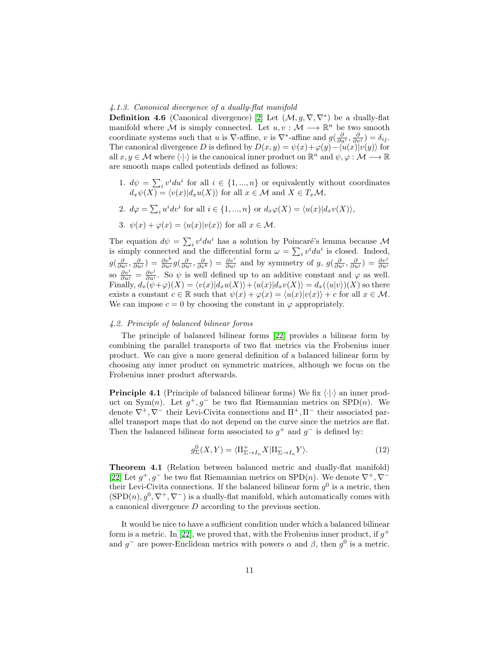#### <span id="page-10-2"></span>4.1.3. Canonical divergence of a dually-flat manifold

<span id="page-10-3"></span>**Definition 4.6** (Canonical divergence) [\[2\]](#page-23-1) Let  $(\mathcal{M}, g, \nabla, \nabla^*)$  be a dually-flat manifold where  $\mathcal M$  is simply connected. Let  $u, v : \mathcal M \longrightarrow \mathbb{R}^n$  be two smooth coordinate systems such that u is  $\nabla$ -affine, v is  $\nabla^*$ -affine and  $g(\frac{\partial}{\partial u^i}, \frac{\partial}{\partial v^j}) = \delta_{ij}$ . The canonical divergence D is defined by  $D(x, y) = \psi(x) + \varphi(y) - \langle u(x) | v(y) \rangle$  for all  $x, y \in \mathcal{M}$  where  $\langle \cdot | \cdot \rangle$  is the canonical inner product on  $\mathbb{R}^n$  and  $\psi, \varphi : \mathcal{M} \longrightarrow \mathbb{R}$ are smooth maps called potentials defined as follows:

- 1.  $d\psi = \sum_i v^i du^i$  for all  $i \in \{1, ..., n\}$  or equivalently without coordinates  $d_x\psi(X) = \langle v(x)|d_xu(X)\rangle$  for all  $x \in \mathcal{M}$  and  $X \in T_x\mathcal{M}$ ,
- 2.  $d\varphi = \sum_i u^i dv^i$  for all  $i \in \{1, ..., n\}$  or  $d_x\varphi(X) = \langle u(x)|d_xv(X)\rangle$ ,
- 3.  $\psi(x) + \varphi(x) = \langle u(x)|v(x)\rangle$  for all  $x \in \mathcal{M}$ .

The equation  $d\psi = \sum_i v^i du^i$  has a solution by Poincaré's lemma because M is simply connected and the differential form  $\omega = \sum_i v^i du^i$  is closed. Indeed,  $g(\frac{\partial}{\partial u^i}, \frac{\partial}{\partial u^j}) = \frac{\partial v^k}{\partial u^j} g(\frac{\partial}{\partial u^i}, \frac{\partial}{\partial v^k}) = \frac{\partial v^i}{\partial u^j}$  and by symmetry of g,  $g(\frac{\partial}{\partial u^i}, \frac{\partial}{\partial u^j}) = \frac{\partial v^j}{\partial u^i}$ <br>so  $\frac{\partial v^i}{\partial u^j} = \frac{\partial v^j}{\partial u^i}$ . So  $\psi$  is well defined up to an additive c Finally,  $d_x(\psi + \varphi)(X) = \langle v(x)|d_xu(X)\rangle + \langle u(x)|d_xv(X)\rangle = d_x(\langle u|v\rangle)(X)$  so there exists a constant  $c \in \mathbb{R}$  such that  $\psi(x) + \varphi(x) = \langle u(x)|v(x)\rangle + c$  for all  $x \in \mathcal{M}$ . We can impose  $c = 0$  by choosing the constant in  $\varphi$  appropriately.

## <span id="page-10-0"></span>4.2. Principle of balanced bilinear forms

The principle of balanced bilinear forms [\[22\]](#page-24-7) provides a bilinear form by combining the parallel transports of two flat metrics via the Frobenius inner product. We can give a more general definition of a balanced bilinear form by choosing any inner product on symmetric matrices, although we focus on the Frobenius inner product afterwards.

**Principle 4.1** (Principle of balanced bilinear forms) We fix  $\langle \cdot | \cdot \rangle$  an inner product on Sym(n). Let  $g^+, g^-$  be two flat Riemannian metrics on SPD(n). We denote  $\nabla^+$ ,  $\nabla^-$  their Levi-Civita connections and  $\Pi^+$ ,  $\Pi^-$  their associated parallel transport maps that do not depend on the curve since the metrics are flat. Then the balanced bilinear form associated to  $g^+$  and  $g^-$  is defined by:

$$
g_{\Sigma}^{0}(X,Y) = \langle \Pi_{\Sigma \to I_n}^{+} X | \Pi_{\Sigma \to I_n}^{-} Y \rangle.
$$
 (12)

<span id="page-10-1"></span>Theorem 4.1 (Relation between balanced metric and dually-flat manifold) [\[22\]](#page-24-7) Let  $g^+, g^-$  be two flat Riemannian metrics on SPD(n). We denote  $\nabla^+, \nabla^$ their Levi-Civita connections. If the balanced bilinear form  $g^0$  is a metric, then  $(SPD(n), g^0, \nabla^+, \nabla^-)$  is a dually-flat manifold, which automatically comes with a canonical divergence D according to the previous section.

It would be nice to have a sufficient condition under which a balanced bilinear form is a metric. In [\[22\]](#page-24-7), we proved that, with the Frobenius inner product, if  $g^+$ and  $g^-$  are power-Euclidean metrics with powers  $\alpha$  and  $\beta$ , then  $g^0$  is a metric.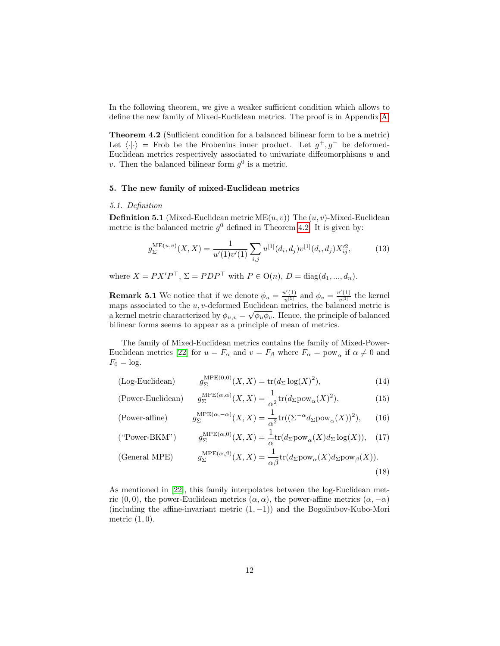In the following theorem, we give a weaker sufficient condition which allows to define the new family of Mixed-Euclidean metrics. The proof is in Appendix [A.](#page-17-0)

<span id="page-11-0"></span>Theorem 4.2 (Sufficient condition for a balanced bilinear form to be a metric) Let  $\langle \cdot | \cdot \rangle$  = Frob be the Frobenius inner product. Let  $g^+, g^-$  be deformed-Euclidean metrics respectively associated to univariate diffeomorphisms  $u$  and v. Then the balanced bilinear form  $g^0$  is a metric.

#### 5. The new family of mixed-Euclidean metrics

#### 5.1. Definition

**Definition 5.1** (Mixed-Euclidean metric  $ME(u, v)$ ) The  $(u, v)$ -Mixed-Euclidean metric is the balanced metric  $g^0$  defined in Theorem [4.2.](#page-11-0) It is given by:

$$
g_{\Sigma}^{\text{ME}(u,v)}(X,X) = \frac{1}{u'(1)v'(1)} \sum_{i,j} u^{[1]}(d_i, d_j) v^{[1]}(d_i, d_j) X_{ij}^{\prime 2},\tag{13}
$$

where  $X = PX'P^{\top}, \Sigma = PDP^{\top}$  with  $P \in O(n)$ ,  $D = \text{diag}(d_1, ..., d_n)$ .

**Remark 5.1** We notice that if we denote  $\phi_u = \frac{u'(1)}{u^{[1]}}$  and  $\phi_v = \frac{v'(1)}{v^{[1]}}$  $\frac{\partial f(1)}{\partial [1]}$  the kernel maps associated to the  $u, v$ -deformed Euclidean metrics, the balanced metric is a kernel metric characterized by  $\phi_{u,v} = \sqrt{\phi_u \phi_v}$ . Hence, the principle of balanced bilinear forms seems to appear as a principle of mean of metrics.

The family of Mixed-Euclidean metrics contains the family of Mixed-Power-Euclidean metrics [\[22\]](#page-24-7) for  $u = F_\alpha$  and  $v = F_\beta$  where  $F_\alpha = \text{pow}_\alpha$  if  $\alpha \neq 0$  and  $F_0 = \log$ .

$$
\text{(Log-Euclidean)} \qquad \qquad g_{\Sigma}^{\text{MPE}(0,0)}(X,X) = \text{tr}(d_{\Sigma}\log(X)^2),\tag{14}
$$

(Power-Euclidean) 
$$
g_{\Sigma}^{\text{MPE}(\alpha,\alpha)}(X,X) = \frac{1}{\alpha^2} tr(d_{\Sigma} \text{pow}_{\alpha}(X)^2), \tag{15}
$$

(Power-affine) 
$$
g_{\Sigma}^{\text{MPE}(\alpha, -\alpha)}(X, X) = \frac{1}{\alpha^2} tr((\Sigma^{-\alpha} d_{\Sigma} \text{pow}_{\alpha}(X))^2), \quad (16)
$$

$$
(^{\omega}\text{Power-BKM"}) \qquad g_{\Sigma}^{\text{MPE}(\alpha,0)}(X,X) = \frac{1}{\alpha} \text{tr}(d_{\Sigma}\text{pow}_{\alpha}(X)d_{\Sigma}\log(X)), \quad (17)
$$

(General MPEG) 
$$
g_{\Sigma}^{\text{MPE}(\alpha,\beta)}(X,X) = \frac{1}{\alpha\beta} \text{tr}(d_{\Sigma} \text{pow}_{\alpha}(X) d_{\Sigma} \text{pow}_{\beta}(X)).
$$
\n(18)

As mentioned in [\[22\]](#page-24-7), this family interpolates between the log-Euclidean metric  $(0,0)$ , the power-Euclidean metrics  $(\alpha, \alpha)$ , the power-affine metrics  $(\alpha, -\alpha)$ (including the affine-invariant metric  $(1, -1)$ ) and the Bogoliubov-Kubo-Mori metric  $(1,0)$ .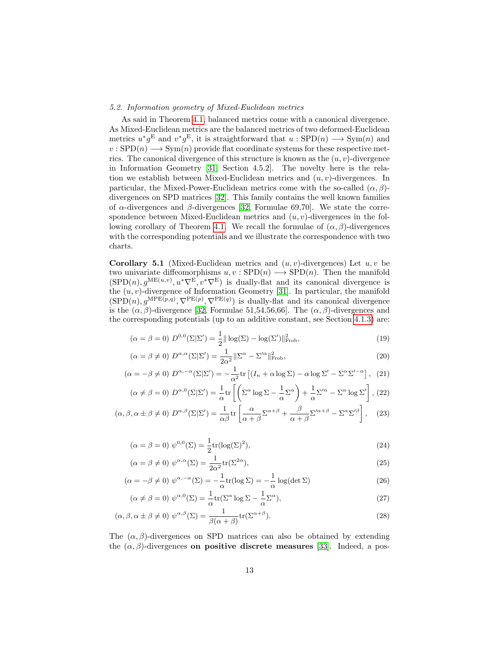## 5.2. Information geometry of Mixed-Euclidean metrics

As said in Theorem [4.1,](#page-10-1) balanced metrics come with a canonical divergence. As Mixed-Euclidean metrics are the balanced metrics of two deformed-Euclidean metrics  $u^*g^{\text{E}}$  and  $v^*g^{\text{E}}$ , it is straightforward that  $u :$  SPD $(n) \longrightarrow \text{Sym}(n)$  and  $v :$  SPD $(n) \longrightarrow$  Sym $(n)$  provide flat coordinate systems for these respective metrics. The canonical divergence of this structure is known as the  $(u, v)$ -divergence in Information Geometry [\[31,](#page-25-5) Section 4.5.2]. The novelty here is the relation we establish between Mixed-Euclidean metrics and  $(u, v)$ -divergences. In particular, the Mixed-Power-Euclidean metrics come with the so-called  $(\alpha, \beta)$ divergences on SPD matrices [\[32\]](#page-25-6). This family contains the well known families of  $\alpha$ -divergences and  $\beta$ -divergences [\[32,](#page-25-6) Formulae 69,70]. We state the correspondence between Mixed-Euclidean metrics and  $(u, v)$ -divergences in the fol-lowing corollary of Theorem [4.1.](#page-10-1) We recall the formulae of  $(\alpha, \beta)$ -divergences with the corresponding potentials and we illustrate the correspondence with two charts.

**Corollary 5.1** (Mixed-Euclidean metrics and  $(u, v)$ -divergences) Let  $u, v$  be two univariate diffeomorphisms  $u, v :$  SPD $(n) \longrightarrow$  SPD $(n)$ . Then the manifold  $(SPD(n), g^{ME(u,v)}, u^*\nabla^E, v^*\nabla^E)$  is dually-flat and its canonical divergence is the  $(u, v)$ -divergence of Information Geometry [\[31\]](#page-25-5). In particular, the manifold  $(\text{SPD}(n), g^{\text{MPE}(p,q)}, \nabla^{\text{PE}(p)}, \nabla^{\text{PE}(q)})$  is dually-flat and its canonical divergence is the  $(\alpha, \beta)$ -divergence [\[32,](#page-25-6) Formulae 51,54,56,66]. The  $(\alpha, \beta)$ -divergences and the corresponding potentials (up to an additive constant, see Section [4.1.3\)](#page-10-2) are:

$$
(\alpha = \beta = 0) D^{0,0}(\Sigma | \Sigma') = \frac{1}{2} ||\log(\Sigma) - \log(\Sigma')||_{\text{Frob}}^2,
$$
\n(19)

$$
(\alpha = \beta \neq 0) D^{\alpha, \alpha}(\Sigma | \Sigma') = \frac{1}{2\alpha^2} ||\Sigma^{\alpha} - \Sigma'^{\alpha}||_{\text{Frob}}^2,
$$
\n(20)

$$
(\alpha = -\beta \neq 0) D^{\alpha, -\alpha}(\Sigma|\Sigma') = -\frac{1}{\alpha^2} \text{tr} \left[ (I_n + \alpha \log \Sigma) - \alpha \log \Sigma' - \Sigma^{\alpha} \Sigma'^{-\alpha} \right], \tag{21}
$$

$$
(\alpha \neq \beta = 0) D^{\alpha,0}(\Sigma|\Sigma') = \frac{1}{\alpha} \text{tr}\left[\left(\Sigma^{\alpha} \log \Sigma - \frac{1}{\alpha} \Sigma^{\alpha}\right) + \frac{1}{\alpha} \Sigma'^{\alpha} - \Sigma^{\alpha} \log \Sigma'\right], (22)
$$

$$
(\alpha, \beta, \alpha \pm \beta \neq 0) D^{\alpha, \beta}(\Sigma | \Sigma') = \frac{1}{\alpha \beta} \text{tr} \left[ \frac{\alpha}{\alpha + \beta} \Sigma^{\alpha + \beta} + \frac{\beta}{\alpha + \beta} \Sigma'^{\alpha + \beta} - \Sigma^{\alpha} \Sigma'^{\beta} \right], \quad (23)
$$

$$
(\alpha = \beta = 0) \ \psi^{0,0}(\Sigma) = \frac{1}{2} \text{tr}(\log(\Sigma)^2), \tag{24}
$$

$$
(\alpha = \beta \neq 0) \ \psi^{\alpha,\alpha}(\Sigma) = \frac{1}{2\alpha^2} \text{tr}(\Sigma^{2\alpha}), \tag{25}
$$

$$
(\alpha = -\beta \neq 0) \ \psi^{\alpha, -\alpha}(\Sigma) = -\frac{1}{\alpha} \text{tr}(\log \Sigma) = -\frac{1}{\alpha} \log(\det \Sigma)
$$
 (26)

$$
(\alpha \neq \beta = 0) \ \psi^{\alpha,0}(\Sigma) = \frac{1}{\alpha} \text{tr}(\Sigma^{\alpha} \log \Sigma - \frac{1}{\alpha} \Sigma^{\alpha}), \tag{27}
$$

$$
(\alpha, \beta, \alpha \pm \beta \neq 0) \ \psi^{\alpha, \beta}(\Sigma) = \frac{1}{\beta(\alpha + \beta)} \text{tr}(\Sigma^{\alpha + \beta}). \tag{28}
$$

The  $(\alpha, \beta)$ -divergences on SPD matrices can also be obtained by extending the  $(\alpha, \beta)$ -divergences on positive discrete measures [\[33\]](#page-25-7). Indeed, a pos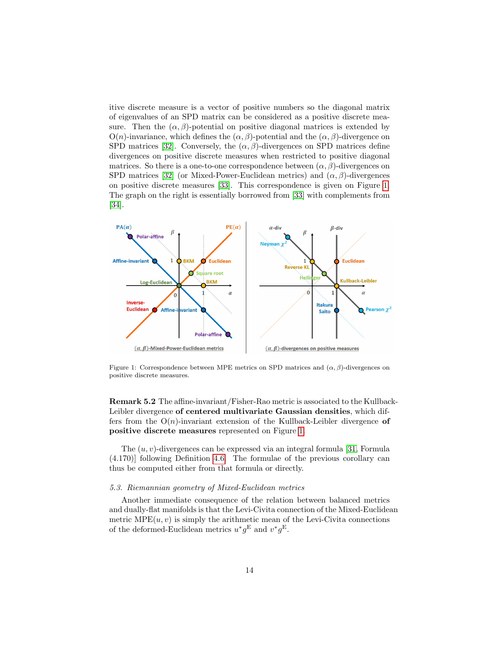itive discrete measure is a vector of positive numbers so the diagonal matrix of eigenvalues of an SPD matrix can be considered as a positive discrete measure. Then the  $(\alpha, \beta)$ -potential on positive diagonal matrices is extended by  $O(n)$ -invariance, which defines the  $(\alpha, \beta)$ -potential and the  $(\alpha, \beta)$ -divergence on SPD matrices [\[32\]](#page-25-6). Conversely, the  $(\alpha, \beta)$ -divergences on SPD matrices define divergences on positive discrete measures when restricted to positive diagonal matrices. So there is a one-to-one correspondence between  $(\alpha, \beta)$ -divergences on SPD matrices [\[32\]](#page-25-6) (or Mixed-Power-Euclidean metrics) and  $(\alpha, \beta)$ -divergences on positive discrete measures [\[33\]](#page-25-7). This correspondence is given on Figure [1.](#page-13-0) The graph on the right is essentially borrowed from [\[33\]](#page-25-7) with complements from [\[34\]](#page-25-8).



<span id="page-13-0"></span>Figure 1: Correspondence between MPE metrics on SPD matrices and  $(\alpha, \beta)$ -divergences on positive discrete measures.

Remark 5.2 The affine-invariant/Fisher-Rao metric is associated to the Kullback-Leibler divergence of centered multivariate Gaussian densities, which differs from the  $O(n)$ -invariant extension of the Kullback-Leibler divergence of positive discrete measures represented on Figure [1.](#page-13-0)

The  $(u, v)$ -divergences can be expressed via an integral formula [\[31,](#page-25-5) Formula (4.170)] following Definition [4.6.](#page-10-3) The formulae of the previous corollary can thus be computed either from that formula or directly.

#### 5.3. Riemannian geometry of Mixed-Euclidean metrics

Another immediate consequence of the relation between balanced metrics and dually-flat manifolds is that the Levi-Civita connection of the Mixed-Euclidean metric  $MPE(u, v)$  is simply the arithmetic mean of the Levi-Civita connections of the deformed-Euclidean metrics  $u^*g^{\text{E}}$  and  $v^*g^{\text{E}}$ .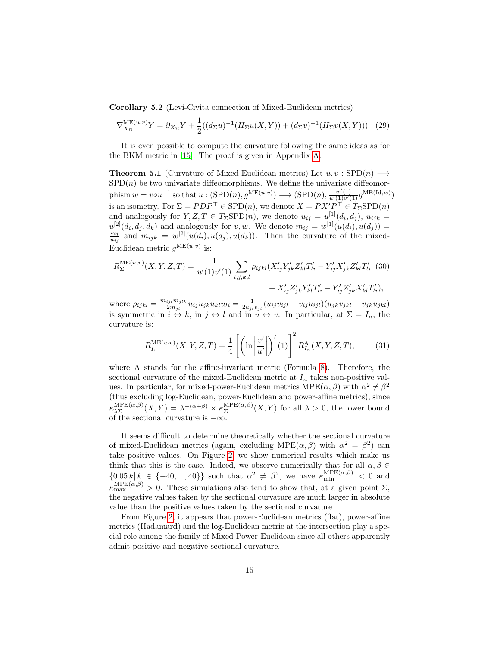Corollary 5.2 (Levi-Civita connection of Mixed-Euclidean metrics)

$$
\nabla_{X_{\Sigma}}^{\text{ME}(u,v)} Y = \partial_{X_{\Sigma}} Y + \frac{1}{2} ((d_{\Sigma} u)^{-1} (H_{\Sigma} u(X, Y)) + (d_{\Sigma} v)^{-1} (H_{\Sigma} v(X, Y))) \tag{29}
$$

It is even possible to compute the curvature following the same ideas as for the BKM metric in [\[15\]](#page-24-0). The proof is given in Appendix [A.](#page-17-0)

<span id="page-14-0"></span>**Theorem 5.1** (Curvature of Mixed-Euclidean metrics) Let  $u, v : SPD(n) \longrightarrow$  $SPD(n)$  be two univariate diffeomorphisms. We define the univariate diffeomorphism  $w = v \circ u^{-1}$  so that  $u : (\text{SPD}(n), g^{\text{ME}(u,v)}) \longrightarrow (\text{SPD}(n), \frac{w'(1)}{u'(1)v'(1)} g^{\text{ME}(\text{Id},w)})$ is an isometry. For  $\Sigma = PDP^{\top} \in$  SPD $(n)$ , we denote  $X = PX'P^{\top} \in T_{\Sigma}$ SPD $(n)$ and analogously for  $Y, Z, T \in T_{\Sigma}SPD(n)$ , we denote  $u_{ij} = u^{[1]}(d_i, d_j)$ ,  $u_{ijk} =$  $u^{[2]}(d_i, d_j, d_k)$  and analogously for v, w. We denote  $m_{ij} = w^{[1]}(u(d_i), u(d_j)) =$ <br> $v_{ij}$  and  $w_{ij} = w^{[2]}(u(d_i), u(d_j))$ . Then the guarature of the mixed  $\frac{v_{ij}}{u_{ij}}$  and  $m_{ijk} = w^{[2]}(u(d_i), u(d_j), u(d_k)).$  Then the curvature of the mixed-Euclidean metric  $g^{\text{ME}(u,v)}$  is:

$$
R_{\Sigma}^{\text{ME}(u,v)}(X,Y,Z,T) = \frac{1}{u'(1)v'(1)} \sum_{i,j,k,l} \rho_{ijkl} (X'_{ij}Y'_{jk}Z'_{kl}T'_{li} - Y'_{ij}X'_{jk}Z'_{kl}T'_{li} \tag{30}
$$

$$
+ X'_{ij}Z'_{jk}Y'_{kl}T'_{li} - Y'_{ij}Z'_{jk}X'_{kl}T'_{li}),
$$

where  $\rho_{ijkl} = \frac{m_{ijl}m_{jlk}}{2m_{il}}$  $\frac{u_{ijl}m_{jlk}}{2m_{jl}}u_{ij}u_{jk}u_{kl}u_{li} = \frac{1}{2u_{jl}v_{ijl}}(u_{ij}v_{ijl} - v_{ij}u_{ijl})(u_{jk}v_{jkl} - v_{jk}u_{jkl})$ is symmetric in  $i \leftrightarrow k$ , in  $j \leftrightarrow l$  and in  $u \leftrightarrow v$ . In particular, at  $\Sigma = I_n$ , the curvature is:

$$
R_{I_n}^{\text{ME}(u,v)}(X,Y,Z,T) = \frac{1}{4} \left[ \left( \ln \left| \frac{v'}{u'} \right| \right)'(1) \right]^2 R_{I_n}^{\text{A}}(X,Y,Z,T), \tag{31}
$$

where A stands for the affine-invariant metric (Formula [8\)](#page-4-1). Therefore, the sectional curvature of the mixed-Euclidean metric at  $I_n$  takes non-positive values. In particular, for mixed-power-Euclidean metrics  $MPE(\alpha, \beta)$  with  $\alpha^2 \neq \beta^2$ (thus excluding log-Euclidean, power-Euclidean and power-affine metrics), since  $\kappa_{\lambda\Sigma}^{\text{MPE}(\alpha,\beta)}$  ${}_{\lambda\Sigma}^{\text{MPE}(\alpha,\beta)}(X,Y) = \lambda^{-(\alpha+\beta)}\times \kappa_{\Sigma}^{\text{MPE}(\alpha,\beta)}$  $\sum_{\Sigma}^{MFL(\alpha,\beta)}(X,Y)$  for all  $\lambda > 0$ , the lower bound of the sectional curvature is  $-\infty$ .

It seems difficult to determine theoretically whether the sectional curvature of mixed-Euclidean metrics (again, excluding MPE $(\alpha, \beta)$  with  $\alpha^2 = \beta^2$ ) can take positive values. On Figure [2,](#page-15-0) we show numerical results which make us think that this is the case. Indeed, we observe numerically that for all  $\alpha, \beta \in$  ${0.05\,k\,|\,k \in \{-40,\ldots,40\}}$  such that  $\alpha^2 \neq \beta^2$ , we have  $\kappa_{\min}^{\text{MPE}(\alpha,\beta)} < 0$  and  $\kappa_{\max}^{\text{MPE}(\alpha,\beta)} > 0$ . These simulations also tend to show that, at a given point  $\Sigma$ , the negative values taken by the sectional curvature are much larger in absolute value than the positive values taken by the sectional curvature.

From Figure [2,](#page-15-0) it appears that power-Euclidean metrics (flat), power-affine metrics (Hadamard) and the log-Euclidean metric at the intersection play a special role among the family of Mixed-Power-Euclidean since all others apparently admit positive and negative sectional curvature.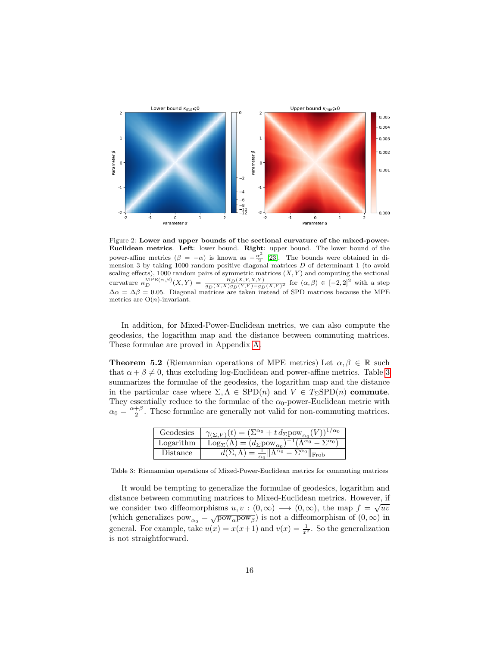

<span id="page-15-0"></span>Figure 2: Lower and upper bounds of the sectional curvature of the mixed-power-Euclidean metrics. Left: lower bound. Right: upper bound. The lower bound of the power-affine metrics  $(\beta = -\alpha)$  is known as  $-\frac{\alpha^2}{2}$  $\frac{x^2}{2}$  [\[23\]](#page-24-8). The bounds were obtained in dimension 3 by taking 1000 random positive diagonal matrices  $D$  of determinant 1 (to avoid scaling effects), 1000 random pairs of symmetric matrices  $(X, Y)$  and computing the sectional curvature  $\kappa_D^{\text{MPE}(\alpha,\beta)}(X,Y) = \frac{R_D(X,Y,X,Y)}{g_D(X,X)g_D(Y,Y)-g_D(X,Y)^2}$  for  $(\alpha,\beta) \in [-2,2]^2$  with a step  $\Delta \alpha = \Delta \beta = 0.05$ . Diagonal matrices are taken instead of SPD matrices because the MPE metrics are  $O(n)$ -invariant.

In addition, for Mixed-Power-Euclidean metrics, we can also compute the geodesics, the logarithm map and the distance between commuting matrices. These formulae are proved in Appendix [A.](#page-17-0)

<span id="page-15-2"></span>**Theorem 5.2** (Riemannian operations of MPE metrics) Let  $\alpha, \beta \in \mathbb{R}$  such that  $\alpha + \beta \neq 0$ , thus excluding log-Euclidean and power-affine metrics. Table [3](#page-15-1) summarizes the formulae of the geodesics, the logarithm map and the distance in the particular case where  $\Sigma, \Lambda \in \text{SPD}(n)$  and  $V \in T_{\Sigma} \text{SPD}(n)$  commute. They essentially reduce to the formulae of the  $\alpha_0$ -power-Euclidean metric with  $\alpha_0 = \frac{\alpha + \beta}{2}$ . These formulae are generally not valid for non-commuting matrices.

| Geodesics | $(\Sigma^{\alpha_0} + t \, d_{\Sigma} \text{pow}_{\alpha_0})$                                |
|-----------|----------------------------------------------------------------------------------------------|
| Logarithm | $\overline{\text{Log}_{\Sigma}(\Lambda)} = (d_{\Sigma} \text{pow}_{\alpha_0})$<br>$\alpha_0$ |
| Distance  | $\nabla\alpha_0$   <br>$\frac{1}{\sqrt{2}}$ $\sqrt{2}$<br>Frob                               |

<span id="page-15-1"></span>Table 3: Riemannian operations of Mixed-Power-Euclidean metrics for commuting matrices

It would be tempting to generalize the formulae of geodesics, logarithm and distance between commuting matrices to Mixed-Euclidean metrics. However, if √ we consider two diffeomorphisms  $u, v : (0, \infty) \longrightarrow (0, \infty)$ , the map  $f = \sqrt{uv}$ (which generalizes  $pow_{\alpha_0} = \sqrt{pow_{\alpha}pow_{\beta}}$ ) is not a diffeomorphism of  $(0, \infty)$  in general. For example, take  $u(x) = x(x+1)$  and  $v(x) = \frac{1}{x^2}$ . So the generalization is not straightforward.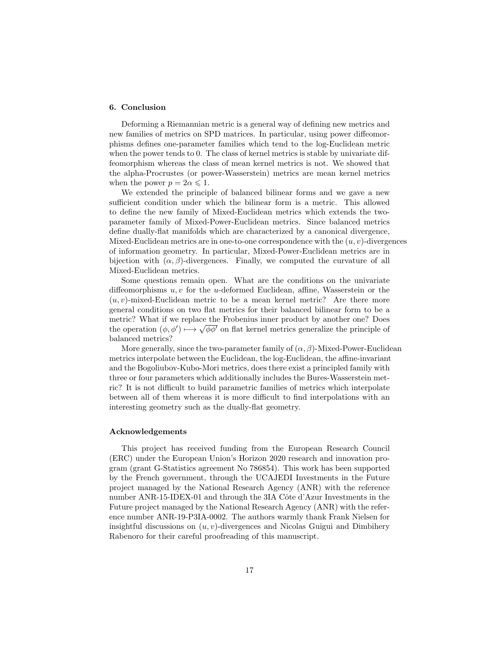## 6. Conclusion

Deforming a Riemannian metric is a general way of defining new metrics and new families of metrics on SPD matrices. In particular, using power diffeomorphisms defines one-parameter families which tend to the log-Euclidean metric when the power tends to 0. The class of kernel metrics is stable by univariate diffeomorphism whereas the class of mean kernel metrics is not. We showed that the alpha-Procrustes (or power-Wasserstein) metrics are mean kernel metrics when the power  $p = 2\alpha \leq 1$ .

We extended the principle of balanced bilinear forms and we gave a new sufficient condition under which the bilinear form is a metric. This allowed to define the new family of Mixed-Euclidean metrics which extends the twoparameter family of Mixed-Power-Euclidean metrics. Since balanced metrics define dually-flat manifolds which are characterized by a canonical divergence, Mixed-Euclidean metrics are in one-to-one correspondence with the  $(u, v)$ -divergences of information geometry. In particular, Mixed-Power-Euclidean metrics are in bijection with  $(\alpha, \beta)$ -divergences. Finally, we computed the curvature of all Mixed-Euclidean metrics.

Some questions remain open. What are the conditions on the univariate diffeomorphisms  $u, v$  for the u-deformed Euclidean, affine, Wasserstein or the  $(u, v)$ -mixed-Euclidean metric to be a mean kernel metric? Are there more general conditions on two flat metrics for their balanced bilinear form to be a metric? What if we replace the Frobenius inner product by another one? Does the operation  $(\phi, \phi') \mapsto \sqrt{\phi \phi'}$  on flat kernel metrics generalize the principle of balanced metrics?

More generally, since the two-parameter family of  $(\alpha, \beta)$ -Mixed-Power-Euclidean metrics interpolate between the Euclidean, the log-Euclidean, the affine-invariant and the Bogoliubov-Kubo-Mori metrics, does there exist a principled family with three or four parameters which additionally includes the Bures-Wasserstein metric? It is not difficult to build parametric families of metrics which interpolate between all of them whereas it is more difficult to find interpolations with an interesting geometry such as the dually-flat geometry.

## Acknowledgements

This project has received funding from the European Research Council (ERC) under the European Union's Horizon 2020 research and innovation program (grant G-Statistics agreement No 786854). This work has been supported by the French government, through the UCAJEDI Investments in the Future project managed by the National Research Agency (ANR) with the reference number ANR-15-IDEX-01 and through the 3IA Côte d'Azur Investments in the Future project managed by the National Research Agency (ANR) with the reference number ANR-19-P3IA-0002. The authors warmly thank Frank Nielsen for insightful discussions on  $(u, v)$ -divergences and Nicolas Guigui and Dimbihery Rabenoro for their careful proofreading of this manuscript.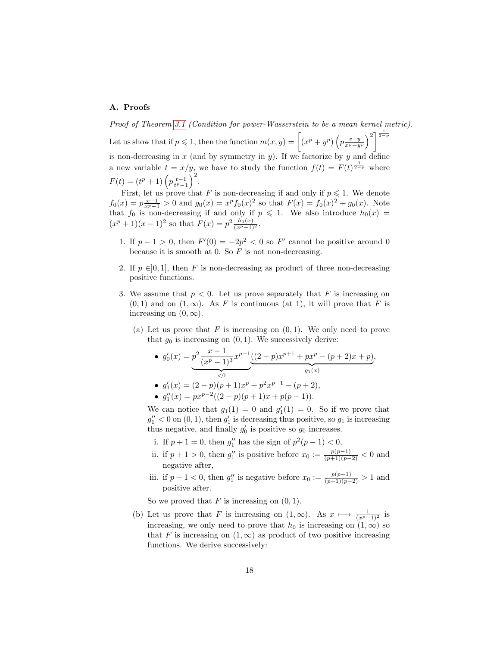# <span id="page-17-0"></span>A. Proofs

Proof of Theorem [3.1](#page-7-1) (Condition for power-Wasserstein to be a mean kernel metric).

Let us show that if  $p \leqslant 1$ , then the function  $m(x, y) = \left[ (x^p + y^p) \left( p \frac{x-y}{x^p - y^p} \right)^2 \right]^{\frac{1}{2-p}}$ is non-decreasing in  $x$  (and by symmetry in  $y$ ). If we factorize by  $y$  and define a new variable  $t = x/y$ , we have to study the function  $f(t) = F(t)^{\frac{1}{2-p}}$  where  $F(t) = (t^p + 1) \left( p \frac{t-1}{t^p-1} \right)^2.$ 

First, let us prove that F is non-decreasing if and only if  $p \leq 1$ . We denote  $f_0(x) = p\frac{x-1}{x^p-1} > 0$  and  $g_0(x) = x^p f_0(x)^2$  so that  $F(x) = f_0(x)^2 + g_0(x)$ . Note that  $f_0$  is non-decreasing if and only if  $p \leq 1$ . We also introduce  $h_0(x) =$  $(x^p + 1)(x - 1)^2$  so that  $F(x) = p^2 \frac{h_0(x)}{(x^p - 1)^2}$ .

- 1. If  $p-1 > 0$ , then  $F'(0) = -2p^2 < 0$  so  $F'$  cannot be positive around 0 because it is smooth at 0. So  ${\cal F}$  is not non-decreasing.
- 2. If  $p \in ]0,1]$ , then F is non-decreasing as product of three non-decreasing positive functions.
- 3. We assume that  $p < 0$ . Let us prove separately that F is increasing on  $(0, 1)$  and on  $(1, \infty)$ . As F is continuous (at 1), it will prove that F is increasing on  $(0, \infty)$ .
	- (a) Let us prove that F is increasing on  $(0, 1)$ . We only need to prove that  $g_0$  is increasing on  $(0, 1)$ . We successively derive:

• 
$$
g'_0(x) = p^2 \underbrace{\frac{x-1}{(x^p-1)^3} x^{p-1}}_{\leq 0} \underbrace{\left((2-p)x^{p+1} + px^p - (p+2)x + p\right)}_{g_1(x)},
$$

• 
$$
g'_1(x) = (2-p)(p+1)x^p + p^2x^{p-1} - (p+2),
$$

• 
$$
g_1''(x) = px^{p-2}((2-p)(p+1)x + p(p-1)).
$$

We can notice that  $g_1(1) = 0$  and  $g'_1(1) = 0$ . So if we prove that  $g_1'' < 0$  on  $(0, 1)$ , then  $g_1'$  is decreasing thus positive, so  $g_1$  is increasing thus negative, and finally  $g'_0$  is positive so  $g_0$  increases.

- i. If  $p + 1 = 0$ , then  $g''_1$  has the sign of  $p^2(p 1) < 0$ ,
- ii. if  $p + 1 > 0$ , then  $g''_1$  is positive before  $x_0 := \frac{p(p-1)}{(p+1)(p-2)} < 0$  and negative after,
- iii. if  $p + 1 < 0$ , then  $g''_1$  is negative before  $x_0 := \frac{p(p-1)}{(p+1)(p-2)} > 1$  and positive after.

So we proved that  $F$  is increasing on  $(0, 1)$ .

(b) Let us prove that F is increasing on  $(1, \infty)$ . As  $x \mapsto \frac{1}{(x^p-1)^2}$  is increasing, we only need to prove that  $h_0$  is increasing on  $(1, \infty)$  so that F is increasing on  $(1, \infty)$  as product of two positive increasing functions. We derive successively: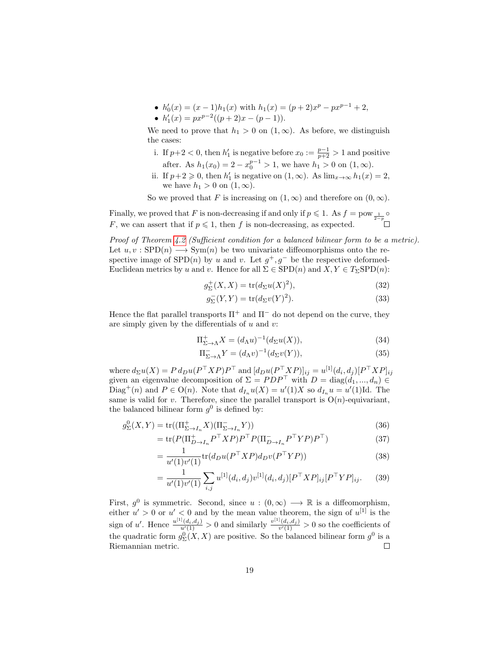- $h'_0(x) = (x-1)h_1(x)$  with  $h_1(x) = (p+2)x^p px^{p-1} + 2$ ,
- $h'_1(x) = px^{p-2}((p+2)x (p-1)).$

We need to prove that  $h_1 > 0$  on  $(1, \infty)$ . As before, we distinguish the cases:

- i. If  $p+2 < 0$ , then  $h'_1$  is negative before  $x_0 := \frac{p-1}{p+2} > 1$  and positive after. As  $h_1(x_0) = 2 - x_0^{p-1} > 1$ , we have  $h_1 > 0$  on  $(1, \infty)$ .
- ii. If  $p+2 \geqslant 0$ , then  $h'_1$  is negative on  $(1, \infty)$ . As  $\lim_{x \to \infty} h_1(x) = 2$ , we have  $h_1 > 0$  on  $(1, \infty)$ .

So we proved that F is increasing on  $(1, \infty)$  and therefore on  $(0, \infty)$ .

Finally, we proved that F is non-decreasing if and only if  $p \leq 1$ . As  $f = \text{pow}_{\frac{1}{2-p}}$ F, we can assert that if  $p \leq 1$ , then f is non-decreasing, as expected.

Proof of Theorem [4.2](#page-11-0) (Sufficient condition for a balanced bilinear form to be a metric). Let  $u, v :$  SPD $(n) \longrightarrow \text{Sym}(n)$  be two univariate diffeomorphisms onto the respective image of  $SPD(n)$  by u and v. Let  $g^+, g^-$  be the respective deformed-Euclidean metrics by u and v. Hence for all  $\Sigma \in$  SPD(n) and  $X, Y \in T_{\Sigma}$ SPD(n):

$$
g_{\Sigma}^{+}(X,X) = \text{tr}(d_{\Sigma}u(X)^{2}),\tag{32}
$$

$$
g_{\Sigma}^{-}(Y,Y) = \text{tr}(d_{\Sigma}v(Y)^{2}).
$$
\n(33)

Hence the flat parallel transports  $\Pi^+$  and  $\Pi^-$  do not depend on the curve, they are simply given by the differentials of  $u$  and  $v$ :

$$
\Pi_{\Sigma \to \Lambda}^+ X = (d_\Lambda u)^{-1} (d_\Sigma u(X)),\tag{34}
$$

$$
\Pi_{\Sigma \to \Lambda}^{-} Y = (d_{\Lambda} v)^{-1} (d_{\Sigma} v(Y)), \tag{35}
$$

where  $d_{\Sigma}u(X) = P d_D u(P^{\top}XP)P^{\top}$  and  $[d_D u(P^{\top}XP)]_{ij} = u^{[1]}(d_i, d_j)[P^{\top}XP]_{ij}$ given an eigenvalue decomposition of  $\Sigma = PDP^{\top}$  with  $D = \text{diag}(d_1, ..., d_n)$ Diag<sup>+</sup>(n) and  $P \in O(n)$ . Note that  $d_{I_n}u(X) = u'(1)X$  so  $d_{I_n}u = u'(1)Id$ . The same is valid for v. Therefore, since the parallel transport is  $O(n)$ -equivariant, the balanced bilinear form  $g^0$  is defined by:

$$
g_{\Sigma}^{0}(X,Y) = \text{tr}((\Pi_{\Sigma \to I_{n}}^+ X)(\Pi_{\Sigma \to I_{n}}^- Y))
$$
\n(36)

$$
= \operatorname{tr}(P(\Pi_{D \to I_n}^+ P^\top X P) P^\top P (\Pi_{D \to I_n}^- P^\top Y P) P^\top)
$$
\n(37)

$$
= \frac{1}{u'(1)v'(1)} \text{tr}(d_D u(P^\top XP) d_D v(P^\top Y P)) \tag{38}
$$

$$
= \frac{1}{u'(1)v'(1)} \sum_{i,j} u^{[1]}(d_i, d_j) v^{[1]}(d_i, d_j) [P^\top X P]_{ij} [P^\top Y P]_{ij}.
$$
 (39)

First,  $g^0$  is symmetric. Second, since  $u : (0, \infty) \longrightarrow \mathbb{R}$  is a diffeomorphism, either  $u' > 0$  or  $u' < 0$  and by the mean value theorem, the sign of  $u^{[1]}$  is the sign of u'. Hence  $\frac{u^{[1]}(d_i,d_j)}{u'(1)} > 0$  and similarly  $\frac{v^{[1]}(d_i,d_j)}{v'(1)} > 0$  so the coefficients of the quadratic form  $g_{\Sigma}^{0}(X, X)$  are positive. So the balanced bilinear form  $g^{0}$  is a Riemannian metric.  $\Box$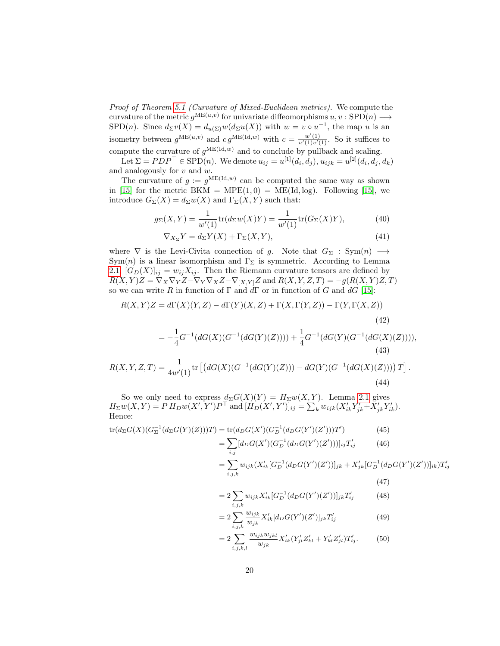Proof of Theorem [5.1](#page-14-0) (Curvature of Mixed-Euclidean metrics). We compute the curvature of the metric  $g^{\text{ME}(u,v)}$  for univariate diffeomorphisms  $u, v : \text{SPD}(n) \longrightarrow$ SPD(n). Since  $d_{\Sigma}v(X) = d_{u(\Sigma)}w(d_{\Sigma}u(X))$  with  $w = v \circ u^{-1}$ , the map u is an isometry between  $g^{\text{ME}(u,v)}$  and  $cg^{\text{ME}(\text{Id},w)}$  with  $c = \frac{w'(1)}{u'(1)v'(1)}$ . So it suffices to compute the curvature of  $g^{\text{ME}(Id,w)}$  and to conclude by pullback and scaling.

Let  $\Sigma = PDP^{\top} \in \text{SPD}(n)$ . We denote  $u_{ij} = u^{[1]}(d_i, d_j)$ ,  $u_{ijk} = u^{[2]}(d_i, d_j, d_k)$ and analogously for  $v$  and  $w$ .

The curvature of  $g := g^{\text{ME}(\text{Id},w)}$  can be computed the same way as shown in [\[15\]](#page-24-0) for the metric BKM =  $MPE(1,0) = ME(Id, log)$ . Following [15], we introduce  $G_{\Sigma}(X) = d_{\Sigma}w(X)$  and  $\Gamma_{\Sigma}(X, Y)$  such that:

$$
g_{\Sigma}(X,Y) = \frac{1}{w'(1)} tr(d_{\Sigma}w(X)Y) = \frac{1}{w'(1)} tr(G_{\Sigma}(X)Y),
$$
 (40)

$$
\nabla_{X_{\Sigma}} Y = d_{\Sigma} Y(X) + \Gamma_{\Sigma}(X, Y), \tag{41}
$$

where  $\nabla$  is the Levi-Civita connection of g. Note that  $G_{\Sigma} : Sym(n) \longrightarrow$ Sym(n) is a linear isomorphism and  $\Gamma_{\Sigma}$  is symmetric. According to Lemma [2.1,](#page-3-0)  $[G_D(X)]_{ij} = w_{ij}X_{ij}$ . Then the Riemann curvature tensors are defined by  $R(X, Y)Z = \nabla_X \nabla_Y Z - \nabla_Y \nabla_X Z - \nabla_{[X, Y]} Z$  and  $R(X, Y, Z, T) = -g(R(X, Y)Z, T)$ so we can write R in function of  $\Gamma$  and  $d\Gamma$  or in function of G and  $dG$  [\[15\]](#page-24-0):

$$
R(X,Y)Z = d\Gamma(X)(Y,Z) - d\Gamma(Y)(X,Z) + \Gamma(X,\Gamma(Y,Z)) - \Gamma(Y,\Gamma(X,Z))
$$
\n(42)

$$
= -\frac{1}{4}G^{-1}(dG(X)(G^{-1}(dG(Y)(Z)))) + \frac{1}{4}G^{-1}(dG(Y)(G^{-1}(dG(X)(Z))))
$$
\n(43)

$$
R(X, Y, Z, T) = \frac{1}{4w'(1)} tr \left[ \left( dG(X)(G^{-1}(dG(Y)(Z))) - dG(Y)(G^{-1}(dG(X)(Z))) \right) T \right].
$$
\n(44)

So we only need to express  $d_{\Sigma}G(X)(Y) = H_{\Sigma}w(X,Y)$ . Lemma [2.1](#page-3-0) gives  $H_{\Sigma}w(X,Y) = P H_D w(X',Y')P^{\top}$  and  $[\hat{H}_D(X',Y')]_{ij} = \sum_{k} w_{ijk}(X'_{ik}Y'_{jk} + \tilde{X}'_{jk}Y'_{ik}).$ Hence:

$$
tr(d_{\Sigma}G(X)(G_{\Sigma}^{-1}(d_{\Sigma}G(Y)(Z)))T) = tr(d_{D}G(X')(G_{D}^{-1}(d_{D}G(Y')(Z')))T')
$$
(45)  

$$
= \sum_{i,j} [d_{D}G(X')(G_{D}^{-1}(d_{D}G(Y')(Z')))]_{ij}T'_{ij}
$$
(46)  

$$
= \sum_{i,j,k} w_{ijk}(X'_{ik}[G_{D}^{-1}(d_{D}G(Y')(Z'))]_{jk} + X'_{jk}[G_{D}^{-1}(d_{D}G(Y')(Z'))]_{ik})T'_{ij}
$$
(47)  

$$
= \sum_{i,j,k} V'_{ij}[G_{D}^{-1}(d_{D}G(Y')(Z'))]_{ij}T'_{ij}
$$
(47)

$$
=2\sum_{i,j,k} w_{ijk} X'_{ik} [G_D^{-1}(d_D G(Y')(Z'))]_{jk} T'_{ij} \tag{48}
$$

$$
=2\sum_{i,j,k}\frac{w_{ijk}}{w_{jk}}X'_{ik}[d_D G(Y')(Z')]_{jk}T'_{ij}
$$
(49)

$$
=2\sum_{i,j,k,l}\frac{w_{ijk}w_{jkl}}{w_{jk}}X'_{ik}(Y'_{jl}Z'_{kl}+Y'_{kl}Z'_{jl})T'_{ij}.
$$
 (50)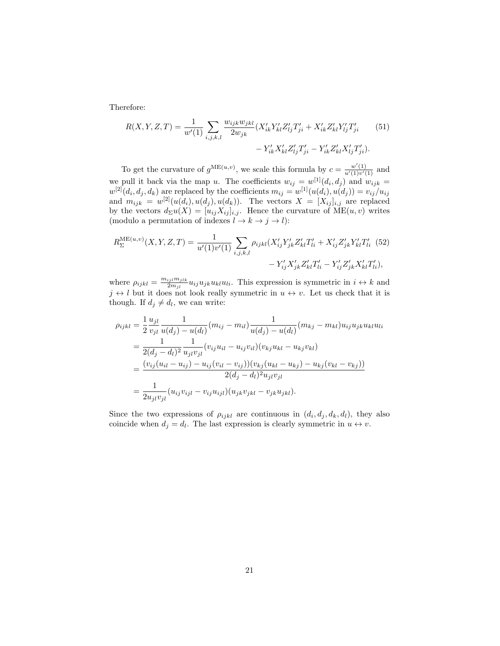Therefore:

$$
R(X, Y, Z, T) = \frac{1}{w'(1)} \sum_{i,j,k,l} \frac{w_{ijk} w_{jkl}}{2w_{jk}} (X'_{ik} Y'_{kl} Z'_{lj} T'_{ji} + X'_{ik} Z'_{kl} Y'_{lj} T'_{ji}
$$
(51)  

$$
- Y'_{ik} X'_{kl} Z'_{lj} T'_{ji} - Y'_{ik} Z'_{kl} X'_{lj} T'_{ji}).
$$

To get the curvature of  $g^{\text{ME}(u,v)}$ , we scale this formula by  $c = \frac{w'(1)}{u'(1)v'(1)}$  and we pull it back via the map u. The coefficients  $w_{ij} = w^{[1]}(d_i, d_j)$  and  $w_{ijk} = w^{[1]}(d_i, d_j)$  $w^{[2]}(d_i, d_j, d_k)$  are replaced by the coefficients  $m_{ij} = w^{[1]}(u(d_i), u(d_j)) = v_{ij}/u_{ij}$ and  $m_{ijk} = w^{[2]}(u(d_i), u(d_j), u(d_k))$ . The vectors  $X = [X_{ij}]_{i,j}$  are replaced by the vectors  $d_{\Sigma}u(X) = [u_{ij}X_{ij}]_{i,j}$ . Hence the curvature of  $\overline{ME}(u, v)$  writes (modulo a permutation of indexes  $l \to k \to j \to l$ ):

<span id="page-20-0"></span>
$$
R_{\Sigma}^{\text{ME}(u,v)}(X,Y,Z,T) = \frac{1}{u'(1)v'(1)} \sum_{i,j,k,l} \rho_{ijkl}(X'_{ij}Y'_{jk}Z'_{kl}T'_{li} + X'_{ij}Z'_{jk}Y'_{kl}T'_{li} \tag{52}
$$

$$
-Y'_{ij}X'_{jk}Z'_{kl}T'_{li} - Y'_{ij}Z'_{jk}X'_{kl}T'_{li}),
$$

where  $\rho_{ijkl} = \frac{m_{ijl}m_{jlk}}{2m_{il}}$  $\frac{i_j t^m j l k}{2m_{jl}} u_{ij} u_{jk} u_{kl} u_{li}$ . This expression is symmetric in  $i \leftrightarrow k$  and  $j \leftrightarrow l$  but it does not look really symmetric in  $u \leftrightarrow v$ . Let us check that it is though. If  $d_j \neq d_l$ , we can write:

$$
\rho_{ijkl} = \frac{1}{2} \frac{u_{jl}}{v_{jl}} \frac{1}{u(d_j) - u(d_l)} (m_{ij} - m_{il}) \frac{1}{u(d_j) - u(d_l)} (m_{kj} - m_{kl}) u_{ij} u_{jk} u_{kl} u_{li}
$$
  
\n
$$
= \frac{1}{2(d_j - d_l)^2} \frac{1}{u_{jl} v_{jl}} (v_{ij} u_{il} - u_{ij} v_{il}) (v_{kj} u_{kl} - u_{kj} v_{kl})
$$
  
\n
$$
= \frac{(v_{ij} (u_{il} - u_{ij}) - u_{ij} (v_{il} - v_{ij})) (v_{kj} (u_{kl} - u_{kj}) - u_{kj} (v_{kl} - v_{kj}))}{2(d_j - d_l)^2 u_{jl} v_{jl}}
$$
  
\n
$$
= \frac{1}{2u_{jl} v_{jl}} (u_{ij} v_{ijl} - v_{ij} u_{ijl}) (u_{jk} v_{jkl} - v_{jk} u_{jkl}).
$$

Since the two expressions of  $\rho_{ijkl}$  are continuous in  $(d_i, d_j, d_k, d_l)$ , they also coincide when  $d_j = d_l$ . The last expression is clearly symmetric in  $u \leftrightarrow v$ .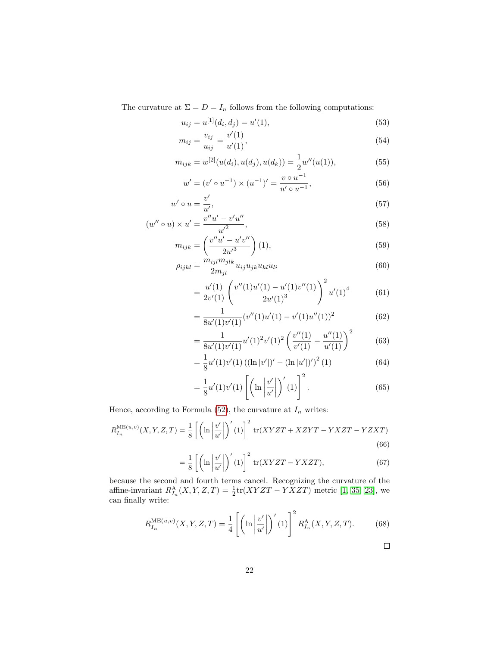The curvature at  $\Sigma = D = I_n$  follows from the following computations:

$$
u_{ij} = u^{[1]}(d_i, d_j) = u'(1),
$$
\n(53)

$$
m_{ij} = \frac{v_{ij}}{u_{ij}} = \frac{v'(1)}{u'(1)},
$$
\n(54)

$$
m_{ijk} = w^{[2]}(u(d_i), u(d_j), u(d_k)) = \frac{1}{2}w''(u(1)),
$$
\n(55)

$$
w' = (v' \circ u^{-1}) \times (u^{-1})' = \frac{v \circ u^{-1}}{u' \circ u^{-1}},
$$
\n(56)

$$
w' \circ u = \frac{v'}{u'},\tag{57}
$$

$$
(w'' \circ u) \times u' = \frac{v''u' - v'u''}{u'^2},
$$
\n(58)

$$
m_{ijk} = \left(\frac{v''u' - u'v''}{2u'^3}\right)(1),\tag{59}
$$

$$
\rho_{ijkl} = \frac{m_{ijl}m_{jlk}}{2m_{jl}} u_{ij}u_{jk}u_{kl}u_{li}
$$
\n(60)

$$
= \frac{u'(1)}{2v'(1)} \left( \frac{v''(1)u'(1) - u'(1)v''(1)}{2u'(1)^3} \right)^2 u'(1)^4 \tag{61}
$$

$$
= \frac{1}{8u'(1)v'(1)} (v''(1)u'(1) - v'(1)u''(1))^2
$$
\n(62)

$$
= \frac{1}{8u'(1)v'(1)}u'(1)^2v'(1)^2\left(\frac{v''(1)}{v'(1)} - \frac{u''(1)}{u'(1)}\right)^2\tag{63}
$$

$$
= \frac{1}{8}u'(1)v'(1) ((\ln |v'|)' - (\ln |u'|)')^{2} (1)
$$
\n(64)

$$
=\frac{1}{8}u'(1)v'(1)\left[\left(\ln\left|\frac{v'}{u'}\right|\right)'(1)\right]^2.
$$
\n(65)

Hence, according to Formula [\(52\)](#page-20-0), the curvature at  $\mathcal{I}_n$  writes:

$$
R_{I_n}^{\text{ME}(u,v)}(X,Y,Z,T) = \frac{1}{8} \left[ \left( \ln \left| \frac{v'}{u'} \right| \right)'(1) \right]^2 \text{tr}(XYZT + XZYT - YXZT - YZXT) \tag{66}
$$

$$
= \frac{1}{8} \left[ \left( \ln \left| \frac{v'}{u'} \right| \right)'(1) \right]^2 \text{tr}(XYZT - YXZT), \tag{67}
$$

because the second and fourth terms cancel. Recognizing the curvature of the affine-invariant  $R_{I_n}^{\text{A}}(X, Y, Z, T) = \frac{1}{2} \text{tr}(XYZT - YXZT)$  metric [\[1,](#page-23-0) [35,](#page-25-9) [23\]](#page-24-8), we can finally write:

$$
R_{I_n}^{\text{ME}(u,v)}(X,Y,Z,T) = \frac{1}{4} \left[ \left( \ln \left| \frac{v'}{u'} \right| \right)'(1) \right]^2 R_{I_n}^{\text{A}}(X,Y,Z,T). \tag{68}
$$

$$
\Box
$$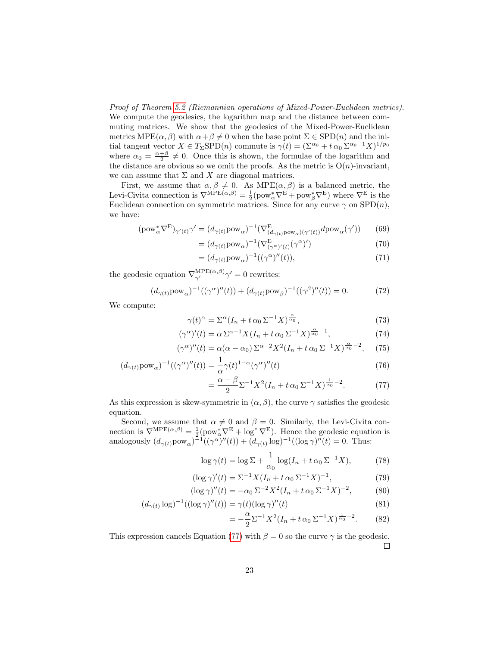Proof of Theorem [5.2](#page-15-2) (Riemannian operations of Mixed-Power-Euclidean metrics). We compute the geodesics, the logarithm map and the distance between commuting matrices. We show that the geodesics of the Mixed-Power-Euclidean metrics MPE( $\alpha$ ,  $\beta$ ) with  $\alpha + \beta \neq 0$  when the base point  $\Sigma \in$  SPD(n) and the initial tangent vector  $X \in T_{\Sigma}SPD(n)$  commute is  $\gamma(t) = (\Sigma^{\alpha_0} + t \alpha_0 \Sigma^{\alpha_0-1} X)^{1/p_0}$ where  $\alpha_0 = \frac{\alpha+\beta}{2} \neq 0$ . Once this is shown, the formulae of the logarithm and the distance are obvious so we omit the proofs. As the metric is  $O(n)$ -invariant, we can assume that  $\Sigma$  and  $X$  are diagonal matrices.

First, we assume that  $\alpha, \beta \neq 0$ . As MPE $(\alpha, \beta)$  is a balanced metric, the Levi-Civita connection is  $\nabla^{\text{MPE}}(\alpha, \beta) = \frac{1}{2} (\text{pow}_{\alpha}^* \nabla^{\text{E}} + \text{pow}_{\beta}^* \nabla^{\text{E}})$  where  $\nabla^{\text{E}}$  is the Euclidean connection on symmetric matrices. Since for any curve  $\gamma$  on  $SPD(n)$ , we have:

$$
(\text{pow}_{\alpha}^* \nabla^{\mathcal{E}})_{\gamma'(t)} \gamma' = (d_{\gamma(t)} \text{pow}_{\alpha})^{-1} (\nabla^{\mathcal{E}}_{(d_{\gamma(t)} \text{pow}_{\alpha})(\gamma'(t))} d\text{pow}_{\alpha}(\gamma')) \tag{69}
$$

$$
= (d_{\gamma(t)} \text{pow}_{\alpha})^{-1} (\nabla^{\mathcal{E}}_{(\gamma^{\alpha})'(t)}(\gamma^{\alpha})')
$$
\n(70)

$$
= (d_{\gamma(t)} \text{pow}_{\alpha})^{-1} ((\gamma^{\alpha})''(t)), \qquad (71)
$$

the geodesic equation  $\nabla_{\gamma'}^{\text{MPE}(\alpha,\beta)}\gamma'=0$  rewrites:

=

$$
(d_{\gamma(t)}\text{pow}_{\alpha})^{-1}((\gamma^{\alpha})''(t)) + (d_{\gamma(t)}\text{pow}_{\beta})^{-1}((\gamma^{\beta})''(t)) = 0.
$$
 (72)

We compute:

$$
\gamma(t)^{\alpha} = \Sigma^{\alpha} (I_n + t \alpha_0 \Sigma^{-1} X)^{\frac{\alpha}{\alpha_0}}, \qquad (73)
$$

$$
(\gamma^{\alpha})'(t) = \alpha \Sigma^{\alpha - 1} X (I_n + t \alpha_0 \Sigma^{-1} X)^{\frac{\alpha}{\alpha_0} - 1},\tag{74}
$$

$$
(\gamma^{\alpha})''(t) = \alpha(\alpha - \alpha_0) \Sigma^{\alpha - 2} X^2 (I_n + t \alpha_0 \Sigma^{-1} X)^{\frac{\alpha}{\alpha_0} - 2}, \quad (75)
$$

$$
(d_{\gamma(t)}\text{pow}_{\alpha})^{-1}((\gamma^{\alpha})''(t)) = \frac{1}{\alpha}\gamma(t)^{1-\alpha}(\gamma^{\alpha})''(t)
$$
\n(76)

<span id="page-22-0"></span>
$$
= \frac{\alpha - \beta}{2} \Sigma^{-1} X^2 (I_n + t \alpha_0 \Sigma^{-1} X)^{\frac{1}{\alpha_0} - 2}.
$$
 (77)

As this expression is skew-symmetric in  $(\alpha, \beta)$ , the curve  $\gamma$  satisfies the geodesic equation.

Second, we assume that  $\alpha \neq 0$  and  $\beta = 0$ . Similarly, the Levi-Civita connection is  $\nabla^{\text{MPE}(\alpha,\beta)} = \frac{1}{2} (\text{pow}_{\alpha}^* \nabla^{\text{E}} + \text{log}^* \nabla^{\text{E}})$ . Hence the geodesic equation is analogously  $(d_{\gamma(t)}pow_{\alpha})^{-1}((\gamma^{\alpha})''(t)) + (d_{\gamma(t)}log)^{-1}((\log \gamma)''(t)) = 0$ . Thus:

$$
\log \gamma(t) = \log \Sigma + \frac{1}{\alpha_0} \log(I_n + t \alpha_0 \Sigma^{-1} X), \tag{78}
$$

$$
(\log \gamma)'(t) = \Sigma^{-1} X (I_n + t \alpha_0 \Sigma^{-1} X)^{-1}, \tag{79}
$$

$$
(\log \gamma)''(t) = -\alpha_0 \Sigma^{-2} X^2 (I_n + t \alpha_0 \Sigma^{-1} X)^{-2}, \quad (80)
$$

$$
(d_{\gamma(t)} \log)^{-1}((\log \gamma)''(t)) = \gamma(t)(\log \gamma)''(t)
$$
\n(81)

$$
= -\frac{\alpha}{2} \Sigma^{-1} X^2 (I_n + t \alpha_0 \Sigma^{-1} X)^{\frac{1}{\alpha_0} - 2}.
$$
 (82)

This expression cancels Equation [\(77\)](#page-22-0) with  $\beta = 0$  so the curve  $\gamma$  is the geodesic.  $\Box$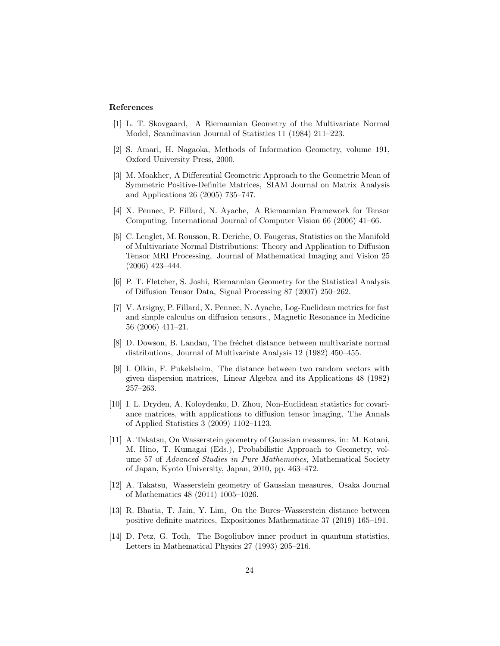## References

- <span id="page-23-0"></span>[1] L. T. Skovgaard, A Riemannian Geometry of the Multivariate Normal Model, Scandinavian Journal of Statistics 11 (1984) 211–223.
- <span id="page-23-1"></span>[2] S. Amari, H. Nagaoka, Methods of Information Geometry, volume 191, Oxford University Press, 2000.
- <span id="page-23-2"></span>[3] M. Moakher, A Differential Geometric Approach to the Geometric Mean of Symmetric Positive-Definite Matrices, SIAM Journal on Matrix Analysis and Applications 26 (2005) 735–747.
- <span id="page-23-3"></span>[4] X. Pennec, P. Fillard, N. Ayache, A Riemannian Framework for Tensor Computing, International Journal of Computer Vision 66 (2006) 41–66.
- <span id="page-23-4"></span>[5] C. Lenglet, M. Rousson, R. Deriche, O. Faugeras, Statistics on the Manifold of Multivariate Normal Distributions: Theory and Application to Diffusion Tensor MRI Processing, Journal of Mathematical Imaging and Vision 25 (2006) 423–444.
- <span id="page-23-5"></span>[6] P. T. Fletcher, S. Joshi, Riemannian Geometry for the Statistical Analysis of Diffusion Tensor Data, Signal Processing 87 (2007) 250–262.
- <span id="page-23-6"></span>[7] V. Arsigny, P. Fillard, X. Pennec, N. Ayache, Log-Euclidean metrics for fast and simple calculus on diffusion tensors., Magnetic Resonance in Medicine 56 (2006) 411–21.
- <span id="page-23-7"></span>[8] D. Dowson, B. Landau, The fréchet distance between multivariate normal distributions, Journal of Multivariate Analysis 12 (1982) 450–455.
- <span id="page-23-8"></span>[9] I. Olkin, F. Pukelsheim, The distance between two random vectors with given dispersion matrices, Linear Algebra and its Applications 48 (1982) 257–263.
- <span id="page-23-9"></span>[10] I. L. Dryden, A. Koloydenko, D. Zhou, Non-Euclidean statistics for covariance matrices, with applications to diffusion tensor imaging, The Annals of Applied Statistics 3 (2009) 1102–1123.
- <span id="page-23-10"></span>[11] A. Takatsu, On Wasserstein geometry of Gaussian measures, in: M. Kotani, M. Hino, T. Kumagai (Eds.), Probabilistic Approach to Geometry, volume 57 of Advanced Studies in Pure Mathematics, Mathematical Society of Japan, Kyoto University, Japan, 2010, pp. 463–472.
- <span id="page-23-11"></span>[12] A. Takatsu, Wasserstein geometry of Gaussian measures, Osaka Journal of Mathematics 48 (2011) 1005–1026.
- <span id="page-23-12"></span>[13] R. Bhatia, T. Jain, Y. Lim, On the Bures–Wasserstein distance between positive definite matrices, Expositiones Mathematicae 37 (2019) 165–191.
- <span id="page-23-13"></span>[14] D. Petz, G. Toth, The Bogoliubov inner product in quantum statistics, Letters in Mathematical Physics 27 (1993) 205–216.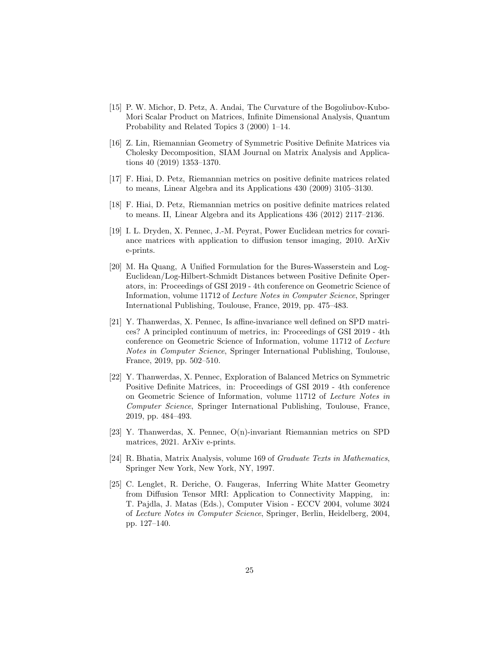- <span id="page-24-0"></span>[15] P. W. Michor, D. Petz, A. Andai, The Curvature of the Bogoliubov-Kubo-Mori Scalar Product on Matrices, Infinite Dimensional Analysis, Quantum Probability and Related Topics 3 (2000) 1–14.
- <span id="page-24-1"></span>[16] Z. Lin, Riemannian Geometry of Symmetric Positive Definite Matrices via Cholesky Decomposition, SIAM Journal on Matrix Analysis and Applications 40 (2019) 1353–1370.
- <span id="page-24-2"></span>[17] F. Hiai, D. Petz, Riemannian metrics on positive definite matrices related to means, Linear Algebra and its Applications 430 (2009) 3105–3130.
- <span id="page-24-3"></span>[18] F. Hiai, D. Petz, Riemannian metrics on positive definite matrices related to means. II, Linear Algebra and its Applications 436 (2012) 2117–2136.
- <span id="page-24-4"></span>[19] I. L. Dryden, X. Pennec, J.-M. Peyrat, Power Euclidean metrics for covariance matrices with application to diffusion tensor imaging, 2010. ArXiv e-prints.
- <span id="page-24-5"></span>[20] M. Ha Quang, A Unified Formulation for the Bures-Wasserstein and Log-Euclidean/Log-Hilbert-Schmidt Distances between Positive Definite Operators, in: Proceedings of GSI 2019 - 4th conference on Geometric Science of Information, volume 11712 of Lecture Notes in Computer Science, Springer International Publishing, Toulouse, France, 2019, pp. 475–483.
- <span id="page-24-6"></span>[21] Y. Thanwerdas, X. Pennec, Is affine-invariance well defined on SPD matrices? A principled continuum of metrics, in: Proceedings of GSI 2019 - 4th conference on Geometric Science of Information, volume 11712 of Lecture Notes in Computer Science, Springer International Publishing, Toulouse, France, 2019, pp. 502–510.
- <span id="page-24-7"></span>[22] Y. Thanwerdas, X. Pennec, Exploration of Balanced Metrics on Symmetric Positive Definite Matrices, in: Proceedings of GSI 2019 - 4th conference on Geometric Science of Information, volume 11712 of Lecture Notes in Computer Science, Springer International Publishing, Toulouse, France, 2019, pp. 484–493.
- <span id="page-24-8"></span>[23] Y. Thanwerdas, X. Pennec, O(n)-invariant Riemannian metrics on SPD matrices, 2021. ArXiv e-prints.
- <span id="page-24-9"></span>[24] R. Bhatia, Matrix Analysis, volume 169 of Graduate Texts in Mathematics, Springer New York, New York, NY, 1997.
- <span id="page-24-10"></span>[25] C. Lenglet, R. Deriche, O. Faugeras, Inferring White Matter Geometry from Diffusion Tensor MRI: Application to Connectivity Mapping, in: T. Pajdla, J. Matas (Eds.), Computer Vision - ECCV 2004, volume 3024 of Lecture Notes in Computer Science, Springer, Berlin, Heidelberg, 2004, pp. 127–140.